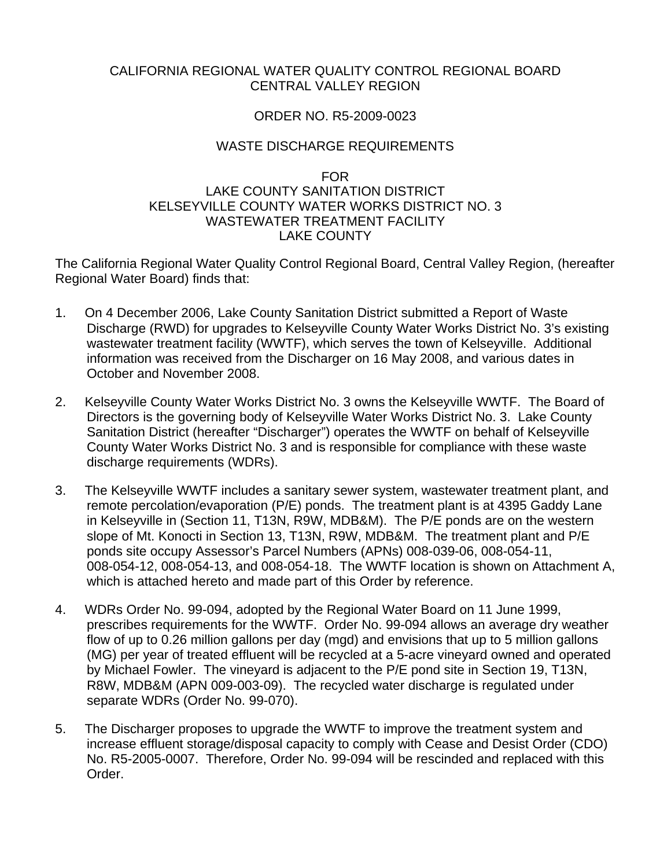#### CALIFORNIA REGIONAL WATER QUALITY CONTROL REGIONAL BOARD CENTRAL VALLEY REGION

### ORDER NO. R5-2009-0023

## WASTE DISCHARGE REQUIREMENTS

#### FOR

### LAKE COUNTY SANITATION DISTRICT KELSEYVILLE COUNTY WATER WORKS DISTRICT NO. 3 WASTEWATER TREATMENT FACILITY LAKE COUNTY

The California Regional Water Quality Control Regional Board, Central Valley Region, (hereafter Regional Water Board) finds that:

- 1. On 4 December 2006, Lake County Sanitation District submitted a Report of Waste Discharge (RWD) for upgrades to Kelseyville County Water Works District No. 3's existing wastewater treatment facility (WWTF), which serves the town of Kelseyville. Additional information was received from the Discharger on 16 May 2008, and various dates in October and November 2008.
- 2. Kelseyville County Water Works District No. 3 owns the Kelseyville WWTF. The Board of Directors is the governing body of Kelseyville Water Works District No. 3. Lake County Sanitation District (hereafter "Discharger") operates the WWTF on behalf of Kelseyville County Water Works District No. 3 and is responsible for compliance with these waste discharge requirements (WDRs).
- 3. The Kelseyville WWTF includes a sanitary sewer system, wastewater treatment plant, and remote percolation/evaporation (P/E) ponds. The treatment plant is at 4395 Gaddy Lane in Kelseyville in (Section 11, T13N, R9W, MDB&M). The P/E ponds are on the western slope of Mt. Konocti in Section 13, T13N, R9W, MDB&M. The treatment plant and P/E ponds site occupy Assessor's Parcel Numbers (APNs) 008-039-06, 008-054-11, 008-054-12, 008-054-13, and 008-054-18. The WWTF location is shown on Attachment A, which is attached hereto and made part of this Order by reference.
- 4. WDRs Order No. 99-094, adopted by the Regional Water Board on 11 June 1999, prescribes requirements for the WWTF. Order No. 99-094 allows an average dry weather flow of up to 0.26 million gallons per day (mgd) and envisions that up to 5 million gallons (MG) per year of treated effluent will be recycled at a 5-acre vineyard owned and operated by Michael Fowler. The vineyard is adjacent to the P/E pond site in Section 19, T13N, R8W, MDB&M (APN 009-003-09). The recycled water discharge is regulated under separate WDRs (Order No. 99-070).
- 5. The Discharger proposes to upgrade the WWTF to improve the treatment system and increase effluent storage/disposal capacity to comply with Cease and Desist Order (CDO) No. R5-2005-0007. Therefore, Order No. 99-094 will be rescinded and replaced with this Order.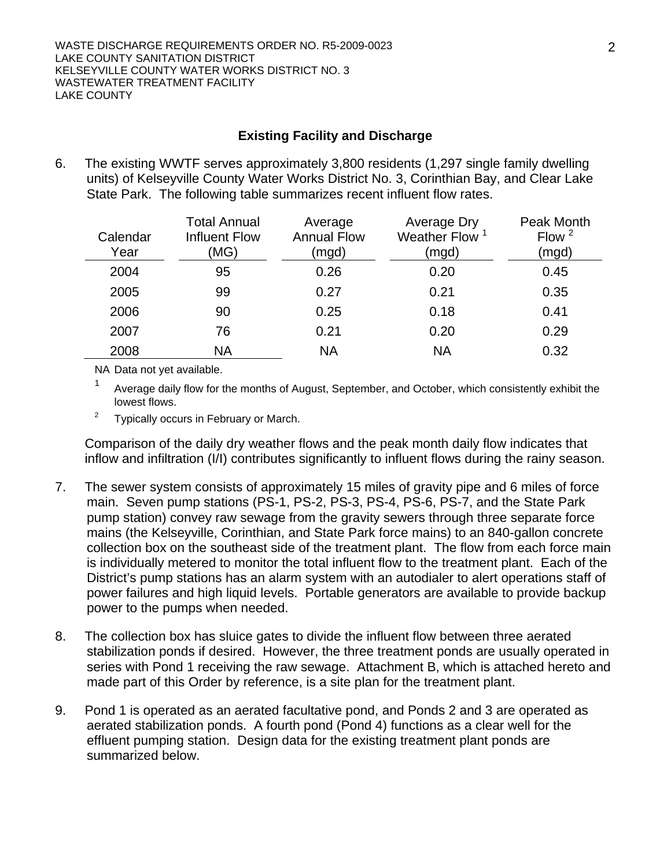### **Existing Facility and Discharge**

6. The existing WWTF serves approximately 3,800 residents (1,297 single family dwelling units) of Kelseyville County Water Works District No. 3, Corinthian Bay, and Clear Lake State Park. The following table summarizes recent influent flow rates.

| Calendar<br>Year | <b>Total Annual</b><br>Influent Flow<br>(MG) | Average<br><b>Annual Flow</b><br>(mgd) | Average Dry<br>Weather Flow<br>(mgd) | Peak Month<br>Flow $2$<br>(mgd) |
|------------------|----------------------------------------------|----------------------------------------|--------------------------------------|---------------------------------|
| 2004             | 95                                           | 0.26                                   | 0.20                                 | 0.45                            |
| 2005             | 99                                           | 0.27                                   | 0.21                                 | 0.35                            |
| 2006             | 90                                           | 0.25                                   | 0.18                                 | 0.41                            |
| 2007             | 76                                           | 0.21                                   | 0.20                                 | 0.29                            |
| 2008             | <b>NA</b>                                    | <b>NA</b>                              | <b>NA</b>                            | 0.32                            |

NA Data not yet available.

<sup>1</sup> Average daily flow for the months of August, September, and October, which consistently exhibit the lowest flows.

2 Typically occurs in February or March.

Comparison of the daily dry weather flows and the peak month daily flow indicates that inflow and infiltration (I/I) contributes significantly to influent flows during the rainy season.

- 7. The sewer system consists of approximately 15 miles of gravity pipe and 6 miles of force main. Seven pump stations (PS-1, PS-2, PS-3, PS-4, PS-6, PS-7, and the State Park pump station) convey raw sewage from the gravity sewers through three separate force mains (the Kelseyville, Corinthian, and State Park force mains) to an 840-gallon concrete collection box on the southeast side of the treatment plant. The flow from each force main is individually metered to monitor the total influent flow to the treatment plant. Each of the District's pump stations has an alarm system with an autodialer to alert operations staff of power failures and high liquid levels. Portable generators are available to provide backup power to the pumps when needed.
- 8. The collection box has sluice gates to divide the influent flow between three aerated stabilization ponds if desired. However, the three treatment ponds are usually operated in series with Pond 1 receiving the raw sewage. Attachment B, which is attached hereto and made part of this Order by reference, is a site plan for the treatment plant.
- 9. Pond 1 is operated as an aerated facultative pond, and Ponds 2 and 3 are operated as aerated stabilization ponds. A fourth pond (Pond 4) functions as a clear well for the effluent pumping station. Design data for the existing treatment plant ponds are summarized below.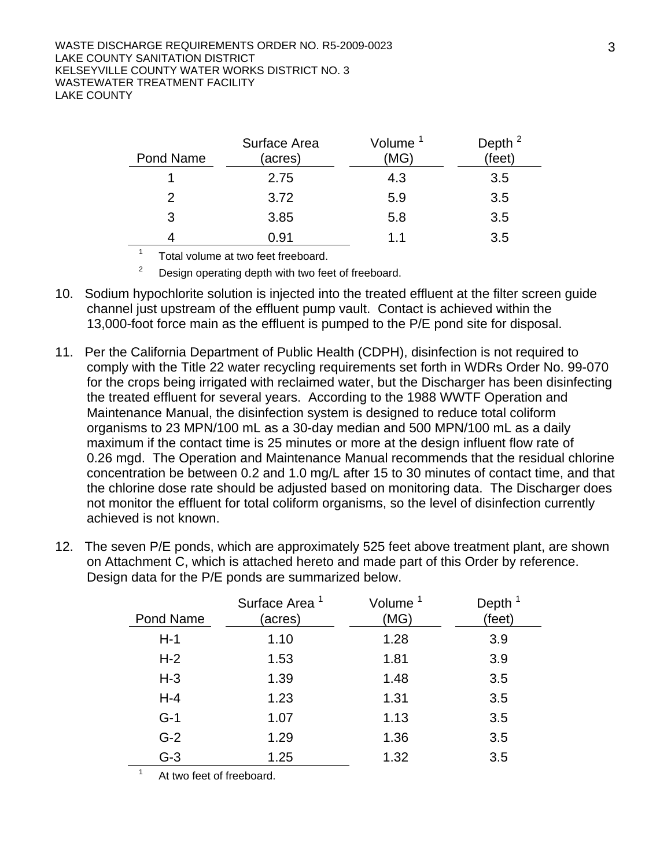| Pond Name | Surface Area<br>(acres) | Volume<br>(MG) | Depth <sup>2</sup><br>(feet) |
|-----------|-------------------------|----------------|------------------------------|
|           | 2.75                    | 4.3            | 3.5                          |
| 2         | 3.72                    | 5.9            | 3.5                          |
| 3         | 3.85                    | 5.8            | 3.5                          |
|           | 0.91                    | 11             | 3.5                          |

<sup>1</sup> Total volume at two feet freeboard.

2 Design operating depth with two feet of freeboard.

- 10. Sodium hypochlorite solution is injected into the treated effluent at the filter screen guide channel just upstream of the effluent pump vault. Contact is achieved within the 13,000-foot force main as the effluent is pumped to the P/E pond site for disposal.
- 11. Per the California Department of Public Health (CDPH), disinfection is not required to comply with the Title 22 water recycling requirements set forth in WDRs Order No. 99-070 for the crops being irrigated with reclaimed water, but the Discharger has been disinfecting the treated effluent for several years. According to the 1988 WWTF Operation and Maintenance Manual, the disinfection system is designed to reduce total coliform organisms to 23 MPN/100 mL as a 30-day median and 500 MPN/100 mL as a daily maximum if the contact time is 25 minutes or more at the design influent flow rate of 0.26 mgd. The Operation and Maintenance Manual recommends that the residual chlorine concentration be between 0.2 and 1.0 mg/L after 15 to 30 minutes of contact time, and that the chlorine dose rate should be adjusted based on monitoring data. The Discharger does not monitor the effluent for total coliform organisms, so the level of disinfection currently achieved is not known.
- 12. The seven P/E ponds, which are approximately 525 feet above treatment plant, are shown on Attachment C, which is attached hereto and made part of this Order by reference. Design data for the P/E ponds are summarized below.

| Pond Name | Surface Area <sup>1</sup><br>(acres) | Volume <sup>1</sup><br>(MG) | Depth $1$<br>(feet) |
|-----------|--------------------------------------|-----------------------------|---------------------|
| $H-1$     | 1.10                                 | 1.28                        | 3.9                 |
| $H-2$     | 1.53                                 | 1.81                        | 3.9                 |
| $H-3$     | 1.39                                 | 1.48                        | 3.5                 |
| $H - 4$   | 1.23                                 | 1.31                        | 3.5                 |
| $G-1$     | 1.07                                 | 1.13                        | 3.5                 |
| $G-2$     | 1.29                                 | 1.36                        | 3.5                 |
| $G-3$     | 1.25                                 | 1.32                        | 3.5                 |

At two feet of freeboard.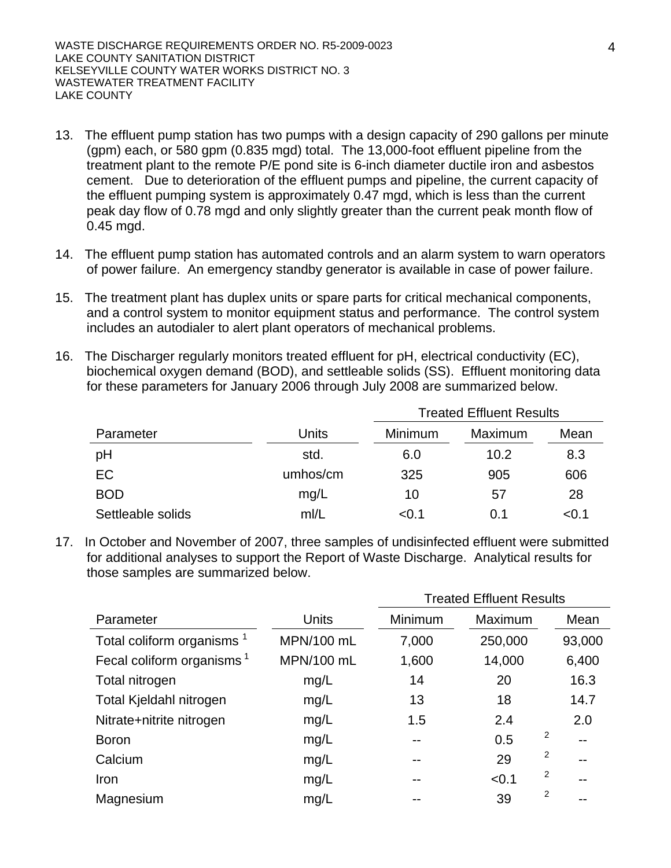- 13. The effluent pump station has two pumps with a design capacity of 290 gallons per minute (gpm) each, or 580 gpm (0.835 mgd) total. The 13,000-foot effluent pipeline from the treatment plant to the remote P/E pond site is 6-inch diameter ductile iron and asbestos cement. Due to deterioration of the effluent pumps and pipeline, the current capacity of the effluent pumping system is approximately 0.47 mgd, which is less than the current peak day flow of 0.78 mgd and only slightly greater than the current peak month flow of 0.45 mgd.
- 14. The effluent pump station has automated controls and an alarm system to warn operators of power failure. An emergency standby generator is available in case of power failure.
- 15. The treatment plant has duplex units or spare parts for critical mechanical components, and a control system to monitor equipment status and performance. The control system includes an autodialer to alert plant operators of mechanical problems.
- 16. The Discharger regularly monitors treated effluent for pH, electrical conductivity (EC), biochemical oxygen demand (BOD), and settleable solids (SS). Effluent monitoring data for these parameters for January 2006 through July 2008 are summarized below.

|                   |          | <b>Treated Effluent Results</b> |         |       |  |
|-------------------|----------|---------------------------------|---------|-------|--|
| Parameter         | Units    | Minimum                         | Maximum | Mean  |  |
| pH                | std.     | 6.0                             | 10.2    | 8.3   |  |
| <b>EC</b>         | umhos/cm | 325                             | 905     | 606   |  |
| <b>BOD</b>        | mg/L     | 10                              | 57      | 28    |  |
| Settleable solids | m/L      | < 0.1                           | 0.1     | < 0.1 |  |

17. In October and November of 2007, three samples of undisinfected effluent were submitted for additional analyses to support the Report of Waste Discharge. Analytical results for those samples are summarized below.

|                                       |              | <b>Treated Effluent Results</b> |         |                |        |
|---------------------------------------|--------------|---------------------------------|---------|----------------|--------|
| Parameter                             | <b>Units</b> | Minimum                         | Maximum |                | Mean   |
| Total coliform organisms <sup>1</sup> | MPN/100 mL   | 7,000                           | 250,000 |                | 93,000 |
| Fecal coliform organisms <sup>1</sup> | MPN/100 mL   | 1,600                           | 14,000  |                | 6,400  |
| Total nitrogen                        | mg/L         | 14                              | 20      |                | 16.3   |
| Total Kjeldahl nitrogen               | mg/L         | 13                              | 18      |                | 14.7   |
| Nitrate+nitrite nitrogen              | mg/L         | 1.5                             | 2.4     |                | 2.0    |
| <b>Boron</b>                          | mg/L         | $- -$                           | 0.5     | 2              | $-$    |
| Calcium                               | mg/L         | --                              | 29      | 2              | --     |
| Iron                                  | mg/L         | --                              | < 0.1   | 2              |        |
| Magnesium                             | mg/L         |                                 | 39      | $\overline{2}$ |        |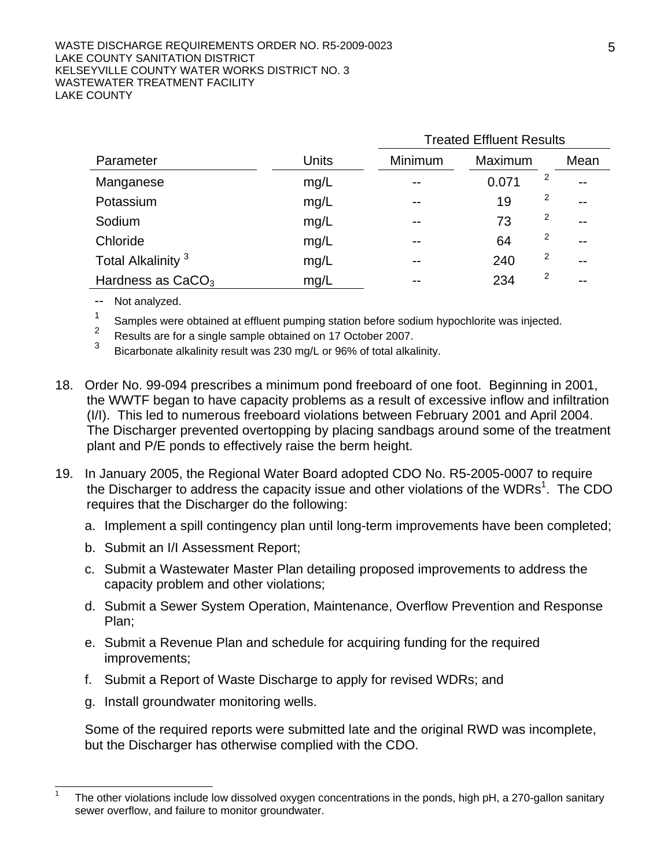#### WASTE DISCHARGE REQUIREMENTS ORDER NO. R5-2009-0023 LAKE COUNTY SANITATION DISTRICT KELSEYVILLE COUNTY WATER WORKS DISTRICT NO. 3 WASTEWATER TREATMENT FACILITY LAKE COUNTY

|                               |              | <b>Treated Effluent Results</b> |         |   |       |
|-------------------------------|--------------|---------------------------------|---------|---|-------|
| Parameter                     | <b>Units</b> | Minimum                         | Maximum |   | Mean  |
| Manganese                     | mg/L         | $ -$                            | 0.071   | 2 | $- -$ |
| Potassium                     | mg/L         | $ -$                            | 19      | 2 | $- -$ |
| Sodium                        | mg/L         | $-$                             | 73      | 2 | $- -$ |
| Chloride                      | mg/L         | $ -$                            | 64      | 2 | $- -$ |
| Total Alkalinity <sup>3</sup> | mg/L         | --                              | 240     | 2 | $- -$ |
| Hardness as $CaCO3$           | mg/L         | --                              | 234     | 2 | --    |

- -- Not analyzed.
- <sup>1</sup> Samples were obtained at effluent pumping station before sodium hypochlorite was injected.
- <sup>2</sup> Results are for a single sample obtained on 17 October 2007.
- Bicarbonate alkalinity result was 230 mg/L or 96% of total alkalinity.
- 18. Order No. 99-094 prescribes a minimum pond freeboard of one foot. Beginning in 2001, the WWTF began to have capacity problems as a result of excessive inflow and infiltration (I/I). This led to numerous freeboard violations between February 2001 and April 2004. The Discharger prevented overtopping by placing sandbags around some of the treatment plant and P/E ponds to effectively raise the berm height.
- 19. In January 2005, the Regional Water Board adopted CDO No. R5-2005-0007 to require the Discharger to address the capacity issue and other violations of the WDRs<sup>1</sup>. The CDO requires that the Discharger do the following:
	- a. Implement a spill contingency plan until long-term improvements have been completed;
	- b. Submit an I/I Assessment Report;
	- c. Submit a Wastewater Master Plan detailing proposed improvements to address the capacity problem and other violations;
	- d. Submit a Sewer System Operation, Maintenance, Overflow Prevention and Response Plan;
	- e. Submit a Revenue Plan and schedule for acquiring funding for the required improvements;
	- f. Submit a Report of Waste Discharge to apply for revised WDRs; and
	- g. Install groundwater monitoring wells.

Some of the required reports were submitted late and the original RWD was incomplete, but the Discharger has otherwise complied with the CDO.

 $\overline{1}$ The other violations include low dissolved oxygen concentrations in the ponds, high pH, a 270-gallon sanitary sewer overflow, and failure to monitor groundwater.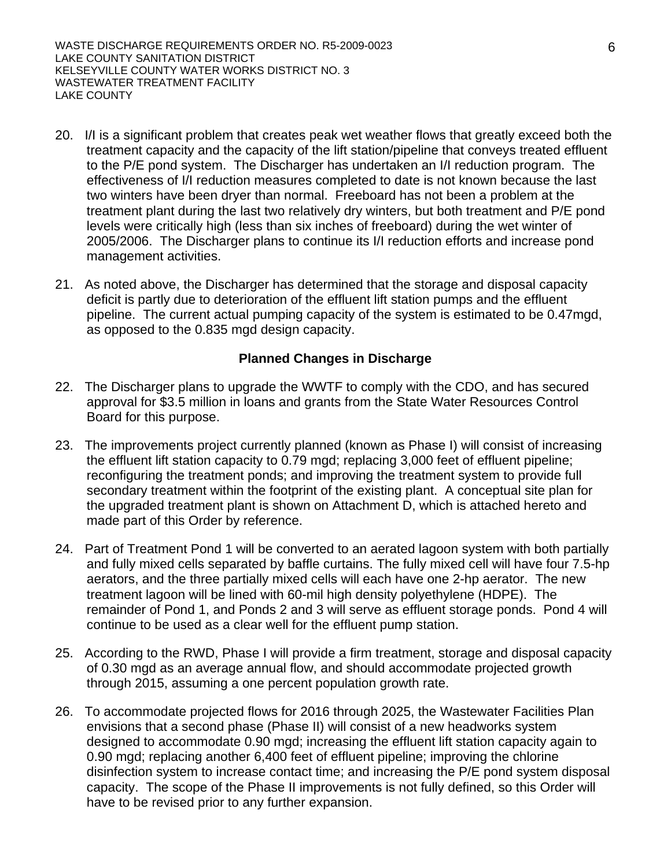WASTE DISCHARGE REQUIREMENTS ORDER NO. R5-2009-0023 LAKE COUNTY SANITATION DISTRICT KELSEYVILLE COUNTY WATER WORKS DISTRICT NO. 3 WASTEWATER TREATMENT FACILITY LAKE COUNTY

- 20. I/I is a significant problem that creates peak wet weather flows that greatly exceed both the treatment capacity and the capacity of the lift station/pipeline that conveys treated effluent to the P/E pond system. The Discharger has undertaken an I/I reduction program. The effectiveness of I/I reduction measures completed to date is not known because the last two winters have been dryer than normal. Freeboard has not been a problem at the treatment plant during the last two relatively dry winters, but both treatment and P/E pond levels were critically high (less than six inches of freeboard) during the wet winter of 2005/2006. The Discharger plans to continue its I/I reduction efforts and increase pond management activities.
- 21. As noted above, the Discharger has determined that the storage and disposal capacity deficit is partly due to deterioration of the effluent lift station pumps and the effluent pipeline. The current actual pumping capacity of the system is estimated to be 0.47mgd, as opposed to the 0.835 mgd design capacity.

### **Planned Changes in Discharge**

- 22. The Discharger plans to upgrade the WWTF to comply with the CDO, and has secured approval for \$3.5 million in loans and grants from the State Water Resources Control Board for this purpose.
- 23. The improvements project currently planned (known as Phase I) will consist of increasing the effluent lift station capacity to 0.79 mgd; replacing 3,000 feet of effluent pipeline; reconfiguring the treatment ponds; and improving the treatment system to provide full secondary treatment within the footprint of the existing plant. A conceptual site plan for the upgraded treatment plant is shown on Attachment D, which is attached hereto and made part of this Order by reference.
- 24. Part of Treatment Pond 1 will be converted to an aerated lagoon system with both partially and fully mixed cells separated by baffle curtains. The fully mixed cell will have four 7.5-hp aerators, and the three partially mixed cells will each have one 2-hp aerator. The new treatment lagoon will be lined with 60-mil high density polyethylene (HDPE). The remainder of Pond 1, and Ponds 2 and 3 will serve as effluent storage ponds. Pond 4 will continue to be used as a clear well for the effluent pump station.
- 25. According to the RWD, Phase I will provide a firm treatment, storage and disposal capacity of 0.30 mgd as an average annual flow, and should accommodate projected growth through 2015, assuming a one percent population growth rate.
- 26. To accommodate projected flows for 2016 through 2025, the Wastewater Facilities Plan envisions that a second phase (Phase II) will consist of a new headworks system designed to accommodate 0.90 mgd; increasing the effluent lift station capacity again to 0.90 mgd; replacing another 6,400 feet of effluent pipeline; improving the chlorine disinfection system to increase contact time; and increasing the P/E pond system disposal capacity. The scope of the Phase II improvements is not fully defined, so this Order will have to be revised prior to any further expansion.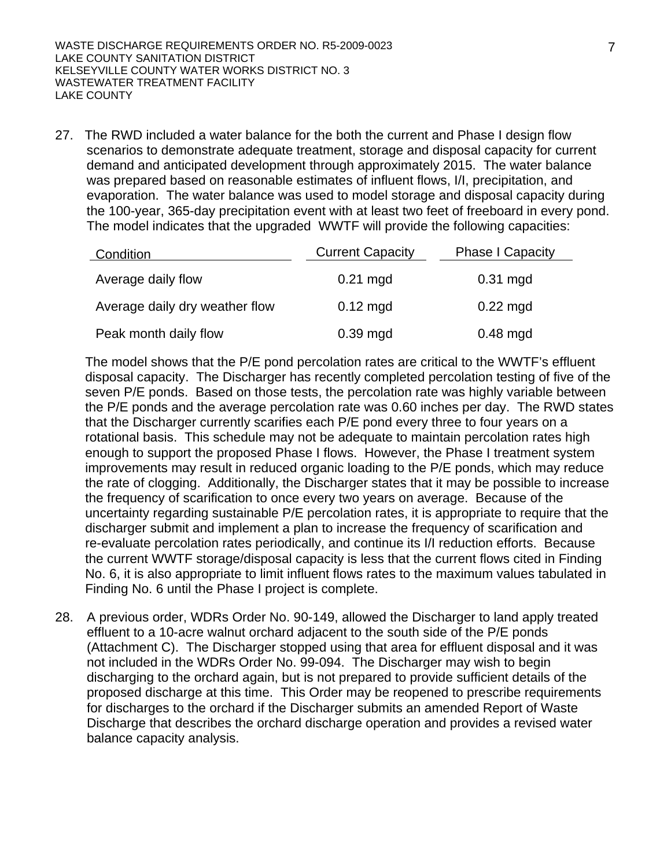27. The RWD included a water balance for the both the current and Phase I design flow scenarios to demonstrate adequate treatment, storage and disposal capacity for current demand and anticipated development through approximately 2015. The water balance was prepared based on reasonable estimates of influent flows, I/I, precipitation, and evaporation. The water balance was used to model storage and disposal capacity during the 100-year, 365-day precipitation event with at least two feet of freeboard in every pond. The model indicates that the upgraded WWTF will provide the following capacities:

| Condition                      | <b>Current Capacity</b> | <b>Phase I Capacity</b> |
|--------------------------------|-------------------------|-------------------------|
| Average daily flow             | $0.21$ mgd              | $0.31$ mgd              |
| Average daily dry weather flow | $0.12 \text{ mgd}$      | $0.22$ mgd              |
| Peak month daily flow          | $0.39$ mgd              | $0.48$ mgd              |

The model shows that the P/E pond percolation rates are critical to the WWTF's effluent disposal capacity. The Discharger has recently completed percolation testing of five of the seven P/E ponds. Based on those tests, the percolation rate was highly variable between the P/E ponds and the average percolation rate was 0.60 inches per day. The RWD states that the Discharger currently scarifies each P/E pond every three to four years on a rotational basis. This schedule may not be adequate to maintain percolation rates high enough to support the proposed Phase I flows. However, the Phase I treatment system improvements may result in reduced organic loading to the P/E ponds, which may reduce the rate of clogging. Additionally, the Discharger states that it may be possible to increase the frequency of scarification to once every two years on average. Because of the uncertainty regarding sustainable P/E percolation rates, it is appropriate to require that the discharger submit and implement a plan to increase the frequency of scarification and re-evaluate percolation rates periodically, and continue its I/I reduction efforts. Because the current WWTF storage/disposal capacity is less that the current flows cited in Finding No. 6, it is also appropriate to limit influent flows rates to the maximum values tabulated in Finding No. 6 until the Phase I project is complete.

28. A previous order, WDRs Order No. 90-149, allowed the Discharger to land apply treated effluent to a 10-acre walnut orchard adjacent to the south side of the P/E ponds (Attachment C). The Discharger stopped using that area for effluent disposal and it was not included in the WDRs Order No. 99-094. The Discharger may wish to begin discharging to the orchard again, but is not prepared to provide sufficient details of the proposed discharge at this time. This Order may be reopened to prescribe requirements for discharges to the orchard if the Discharger submits an amended Report of Waste Discharge that describes the orchard discharge operation and provides a revised water balance capacity analysis.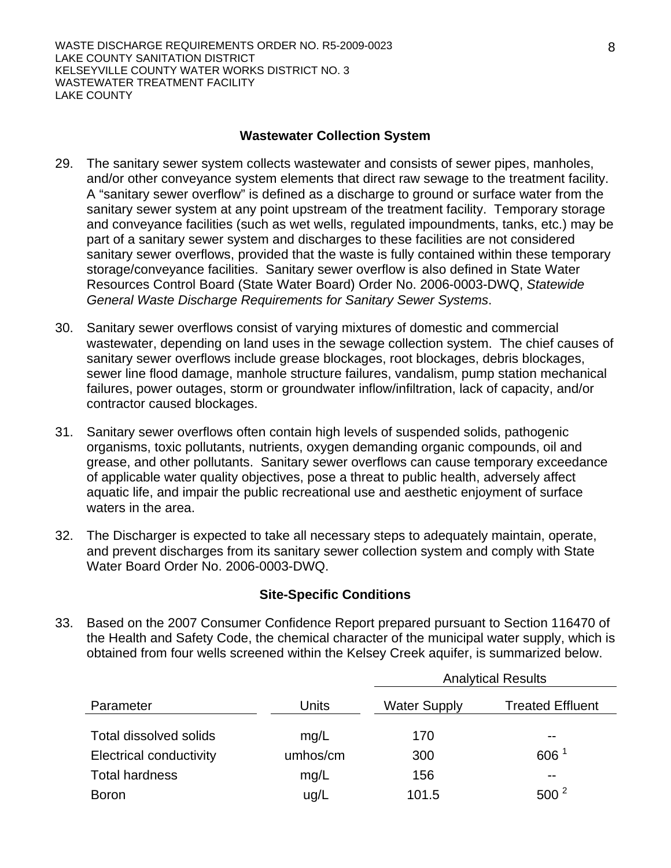#### **Wastewater Collection System**

- 29. The sanitary sewer system collects wastewater and consists of sewer pipes, manholes, and/or other conveyance system elements that direct raw sewage to the treatment facility. A "sanitary sewer overflow" is defined as a discharge to ground or surface water from the sanitary sewer system at any point upstream of the treatment facility. Temporary storage and conveyance facilities (such as wet wells, regulated impoundments, tanks, etc.) may be part of a sanitary sewer system and discharges to these facilities are not considered sanitary sewer overflows, provided that the waste is fully contained within these temporary storage/conveyance facilities. Sanitary sewer overflow is also defined in State Water Resources Control Board (State Water Board) Order No. 2006-0003-DWQ, *Statewide General Waste Discharge Requirements for Sanitary Sewer Systems*.
- 30. Sanitary sewer overflows consist of varying mixtures of domestic and commercial wastewater, depending on land uses in the sewage collection system. The chief causes of sanitary sewer overflows include grease blockages, root blockages, debris blockages, sewer line flood damage, manhole structure failures, vandalism, pump station mechanical failures, power outages, storm or groundwater inflow/infiltration, lack of capacity, and/or contractor caused blockages.
- 31. Sanitary sewer overflows often contain high levels of suspended solids, pathogenic organisms, toxic pollutants, nutrients, oxygen demanding organic compounds, oil and grease, and other pollutants. Sanitary sewer overflows can cause temporary exceedance of applicable water quality objectives, pose a threat to public health, adversely affect aquatic life, and impair the public recreational use and aesthetic enjoyment of surface waters in the area.
- 32. The Discharger is expected to take all necessary steps to adequately maintain, operate, and prevent discharges from its sanitary sewer collection system and comply with State Water Board Order No. 2006-0003-DWQ.

### **Site-Specific Conditions**

33. Based on the 2007 Consumer Confidence Report prepared pursuant to Section 116470 of the Health and Safety Code, the chemical character of the municipal water supply, which is obtained from four wells screened within the Kelsey Creek aquifer, is summarized below.

|                                |          |                     | <b>Analytical Results</b> |  |  |
|--------------------------------|----------|---------------------|---------------------------|--|--|
| Parameter                      | Units    | <b>Water Supply</b> | <b>Treated Effluent</b>   |  |  |
| <b>Total dissolved solids</b>  |          |                     |                           |  |  |
|                                | mg/L     | 170                 | $- -$                     |  |  |
| <b>Electrical conductivity</b> | umhos/cm | 300                 | 606 <sup>1</sup>          |  |  |
| <b>Total hardness</b>          | mg/L     | 156                 | $- -$                     |  |  |
| <b>Boron</b>                   | ug/L     | 101.5               | $500^2$                   |  |  |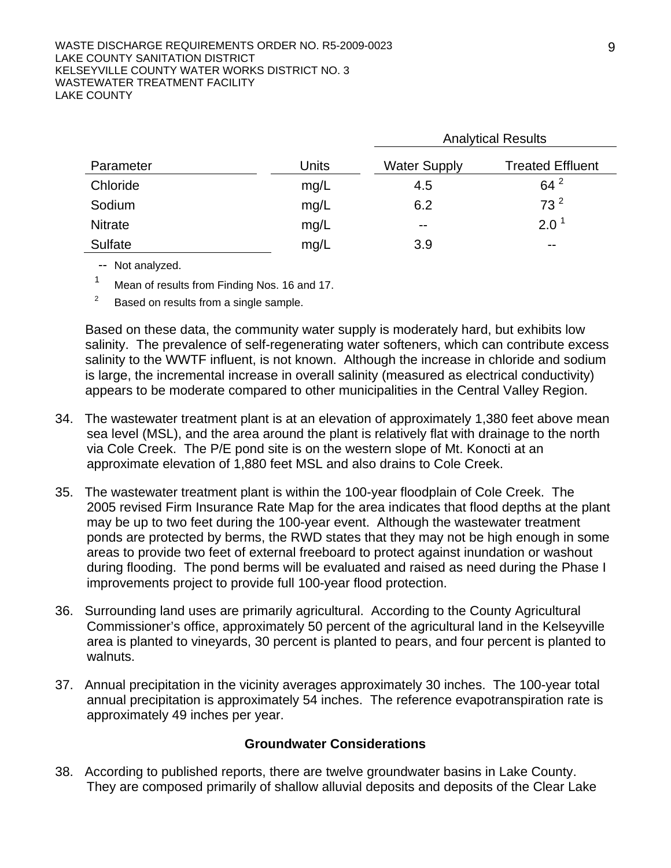#### WASTE DISCHARGE REQUIREMENTS ORDER NO. R5-2009-0023 LAKE COUNTY SANITATION DISTRICT KELSEYVILLE COUNTY WATER WORKS DISTRICT NO. 3 WASTEWATER TREATMENT FACILITY LAKE COUNTY

|                |              | <b>Analytical Results</b> |                         |  |
|----------------|--------------|---------------------------|-------------------------|--|
| Parameter      | <b>Units</b> | <b>Water Supply</b>       | <b>Treated Effluent</b> |  |
| Chloride       | mg/L         | 4.5                       | $64^{2}$                |  |
| Sodium         | mg/L         | 6.2                       | 73 <sup>2</sup>         |  |
| <b>Nitrate</b> | mg/L         | $- -$                     | $2.0^1$                 |  |
| Sulfate        | mg/L         | 3.9                       | $- -$                   |  |

-- Not analyzed.

<sup>1</sup> Mean of results from Finding Nos. 16 and 17.

2 Based on results from a single sample.

Based on these data, the community water supply is moderately hard, but exhibits low salinity. The prevalence of self-regenerating water softeners, which can contribute excess salinity to the WWTF influent, is not known. Although the increase in chloride and sodium is large, the incremental increase in overall salinity (measured as electrical conductivity) appears to be moderate compared to other municipalities in the Central Valley Region.

- 34. The wastewater treatment plant is at an elevation of approximately 1,380 feet above mean sea level (MSL), and the area around the plant is relatively flat with drainage to the north via Cole Creek. The P/E pond site is on the western slope of Mt. Konocti at an approximate elevation of 1,880 feet MSL and also drains to Cole Creek.
- 35. The wastewater treatment plant is within the 100-year floodplain of Cole Creek. The 2005 revised Firm Insurance Rate Map for the area indicates that flood depths at the plant may be up to two feet during the 100-year event. Although the wastewater treatment ponds are protected by berms, the RWD states that they may not be high enough in some areas to provide two feet of external freeboard to protect against inundation or washout during flooding. The pond berms will be evaluated and raised as need during the Phase I improvements project to provide full 100-year flood protection.
- 36. Surrounding land uses are primarily agricultural. According to the County Agricultural Commissioner's office, approximately 50 percent of the agricultural land in the Kelseyville area is planted to vineyards, 30 percent is planted to pears, and four percent is planted to walnuts.
- 37. Annual precipitation in the vicinity averages approximately 30 inches. The 100-year total annual precipitation is approximately 54 inches. The reference evapotranspiration rate is approximately 49 inches per year.

#### **Groundwater Considerations**

38. According to published reports, there are twelve groundwater basins in Lake County. They are composed primarily of shallow alluvial deposits and deposits of the Clear Lake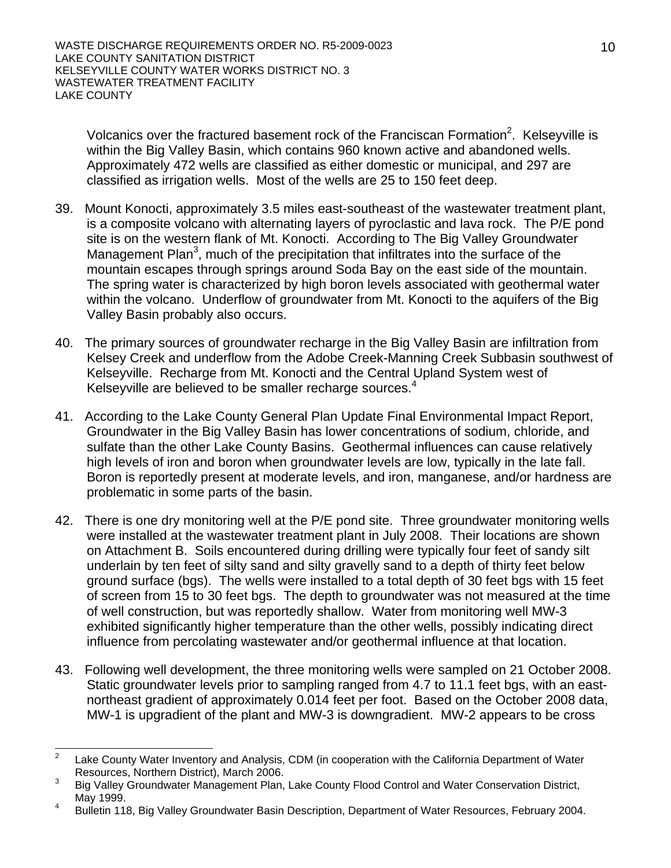Volcanics over the fractured basement rock of the Franciscan Formation<sup>2</sup>. Kelseyville is within the Big Valley Basin, which contains 960 known active and abandoned wells. Approximately 472 wells are classified as either domestic or municipal, and 297 are classified as irrigation wells. Most of the wells are 25 to 150 feet deep.

- 39. Mount Konocti, approximately 3.5 miles east-southeast of the wastewater treatment plant, is a composite volcano with alternating layers of pyroclastic and lava rock. The P/E pond site is on the western flank of Mt. Konocti. According to The Big Valley Groundwater Management Plan<sup>3</sup>, much of the precipitation that infiltrates into the surface of the mountain escapes through springs around Soda Bay on the east side of the mountain. The spring water is characterized by high boron levels associated with geothermal water within the volcano. Underflow of groundwater from Mt. Konocti to the aquifers of the Big Valley Basin probably also occurs.
- 40. The primary sources of groundwater recharge in the Big Valley Basin are infiltration from Kelsey Creek and underflow from the Adobe Creek-Manning Creek Subbasin southwest of Kelseyville. Recharge from Mt. Konocti and the Central Upland System west of Kelseyville are believed to be smaller recharge sources.<sup>4</sup>
- 41. According to the Lake County General Plan Update Final Environmental Impact Report, Groundwater in the Big Valley Basin has lower concentrations of sodium, chloride, and sulfate than the other Lake County Basins. Geothermal influences can cause relatively high levels of iron and boron when groundwater levels are low, typically in the late fall. Boron is reportedly present at moderate levels, and iron, manganese, and/or hardness are problematic in some parts of the basin.
- 42. There is one dry monitoring well at the P/E pond site. Three groundwater monitoring wells were installed at the wastewater treatment plant in July 2008. Their locations are shown on Attachment B. Soils encountered during drilling were typically four feet of sandy silt underlain by ten feet of silty sand and silty gravelly sand to a depth of thirty feet below ground surface (bgs). The wells were installed to a total depth of 30 feet bgs with 15 feet of screen from 15 to 30 feet bgs. The depth to groundwater was not measured at the time of well construction, but was reportedly shallow. Water from monitoring well MW-3 exhibited significantly higher temperature than the other wells, possibly indicating direct influence from percolating wastewater and/or geothermal influence at that location.
- 43. Following well development, the three monitoring wells were sampled on 21 October 2008. Static groundwater levels prior to sampling ranged from 4.7 to 11.1 feet bgs, with an eastnortheast gradient of approximately 0.014 feet per foot. Based on the October 2008 data, MW-1 is upgradient of the plant and MW-3 is downgradient. MW-2 appears to be cross

 $\frac{1}{2}$  Lake County Water Inventory and Analysis, CDM (in cooperation with the California Department of Water Resources, Northern District), March 2006. 3

Big Valley Groundwater Management Plan, Lake County Flood Control and Water Conservation District, May 1999.

Bulletin 118, Big Valley Groundwater Basin Description, Department of Water Resources, February 2004.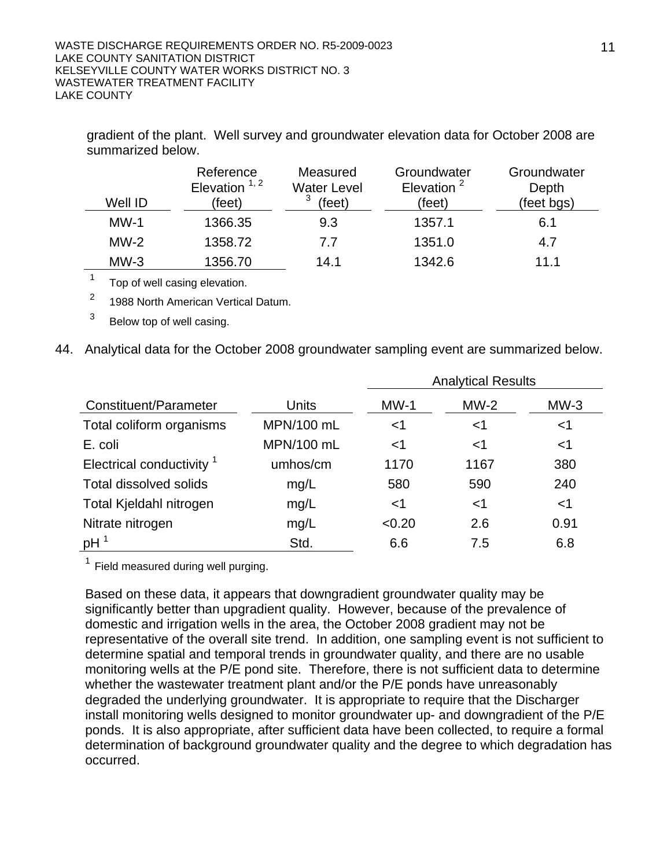| Well ID | Reference<br>Elevation $1, 2$<br>'feet) | Measured<br><b>Water Level</b><br>(feet) | Groundwater<br>Elevation $2$<br>(feet) | Groundwater<br>Depth<br>(feet bgs) |
|---------|-----------------------------------------|------------------------------------------|----------------------------------------|------------------------------------|
| $MW-1$  | 1366.35                                 | 9.3                                      | 1357.1                                 | 6.1                                |
| $MW-2$  | 1358.72                                 | 7.7                                      | 1351.0                                 | 4.7                                |
| $MW-3$  | 1356.70                                 | 14.1                                     | 1342.6                                 | 11 1                               |

gradient of the plant. Well survey and groundwater elevation data for October 2008 are summarized below.

 $1$  Top of well casing elevation.

<sup>2</sup> 1988 North American Vertical Datum.

 $3$  Below top of well casing.

44. Analytical data for the October 2008 groundwater sampling event are summarized below.

|                                      |            | <b>Analytical Results</b> |        |        |  |
|--------------------------------------|------------|---------------------------|--------|--------|--|
| Constituent/Parameter                | Units      | $MW-1$                    | $MW-2$ | $MW-3$ |  |
| Total coliform organisms             | MPN/100 mL | <1                        | $<$ 1  | $<$ 1  |  |
| E. coli                              | MPN/100 mL | $<$ 1                     | ${<}1$ | $<$ 1  |  |
| Electrical conductivity <sup>1</sup> | umhos/cm   | 1170                      | 1167   | 380    |  |
| Total dissolved solids               | mg/L       | 580                       | 590    | 240    |  |
| Total Kjeldahl nitrogen              | mg/L       | $<$ 1                     | $<$ 1  | $<$ 1  |  |
| Nitrate nitrogen                     | mg/L       | < 0.20                    | 2.6    | 0.91   |  |
| pH                                   | Std.       | 6.6                       | 7.5    | 6.8    |  |

 $<sup>1</sup>$  Field measured during well purging.</sup>

Based on these data, it appears that downgradient groundwater quality may be significantly better than upgradient quality. However, because of the prevalence of domestic and irrigation wells in the area, the October 2008 gradient may not be representative of the overall site trend. In addition, one sampling event is not sufficient to determine spatial and temporal trends in groundwater quality, and there are no usable monitoring wells at the P/E pond site. Therefore, there is not sufficient data to determine whether the wastewater treatment plant and/or the P/E ponds have unreasonably degraded the underlying groundwater. It is appropriate to require that the Discharger install monitoring wells designed to monitor groundwater up- and downgradient of the P/E ponds. It is also appropriate, after sufficient data have been collected, to require a formal determination of background groundwater quality and the degree to which degradation has occurred.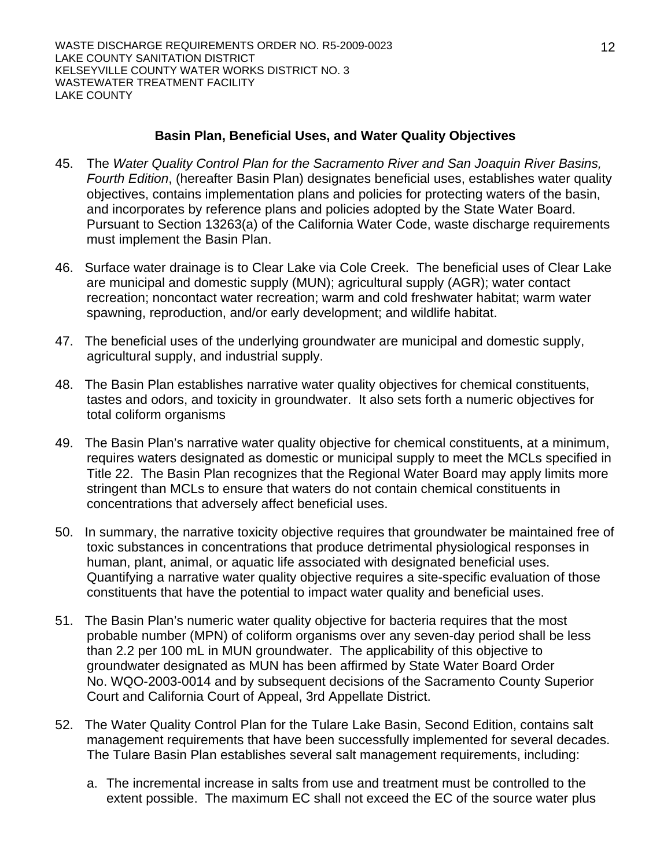## **Basin Plan, Beneficial Uses, and Water Quality Objectives**

- 45. The *Water Quality Control Plan for the Sacramento River and San Joaquin River Basins, Fourth Edition*, (hereafter Basin Plan) designates beneficial uses, establishes water quality objectives, contains implementation plans and policies for protecting waters of the basin, and incorporates by reference plans and policies adopted by the State Water Board. Pursuant to Section 13263(a) of the California Water Code, waste discharge requirements must implement the Basin Plan.
- 46. Surface water drainage is to Clear Lake via Cole Creek. The beneficial uses of Clear Lake are municipal and domestic supply (MUN); agricultural supply (AGR); water contact recreation; noncontact water recreation; warm and cold freshwater habitat; warm water spawning, reproduction, and/or early development; and wildlife habitat.
- 47. The beneficial uses of the underlying groundwater are municipal and domestic supply, agricultural supply, and industrial supply.
- 48. The Basin Plan establishes narrative water quality objectives for chemical constituents, tastes and odors, and toxicity in groundwater. It also sets forth a numeric objectives for total coliform organisms
- 49. The Basin Plan's narrative water quality objective for chemical constituents, at a minimum, requires waters designated as domestic or municipal supply to meet the MCLs specified in Title 22. The Basin Plan recognizes that the Regional Water Board may apply limits more stringent than MCLs to ensure that waters do not contain chemical constituents in concentrations that adversely affect beneficial uses.
- 50. In summary, the narrative toxicity objective requires that groundwater be maintained free of toxic substances in concentrations that produce detrimental physiological responses in human, plant, animal, or aquatic life associated with designated beneficial uses. Quantifying a narrative water quality objective requires a site-specific evaluation of those constituents that have the potential to impact water quality and beneficial uses.
- 51. The Basin Plan's numeric water quality objective for bacteria requires that the most probable number (MPN) of coliform organisms over any seven-day period shall be less than 2.2 per 100 mL in MUN groundwater. The applicability of this objective to groundwater designated as MUN has been affirmed by State Water Board Order No. WQO-2003-0014 and by subsequent decisions of the Sacramento County Superior Court and California Court of Appeal, 3rd Appellate District.
- 52. The Water Quality Control Plan for the Tulare Lake Basin, Second Edition, contains salt management requirements that have been successfully implemented for several decades. The Tulare Basin Plan establishes several salt management requirements, including:
	- a. The incremental increase in salts from use and treatment must be controlled to the extent possible. The maximum EC shall not exceed the EC of the source water plus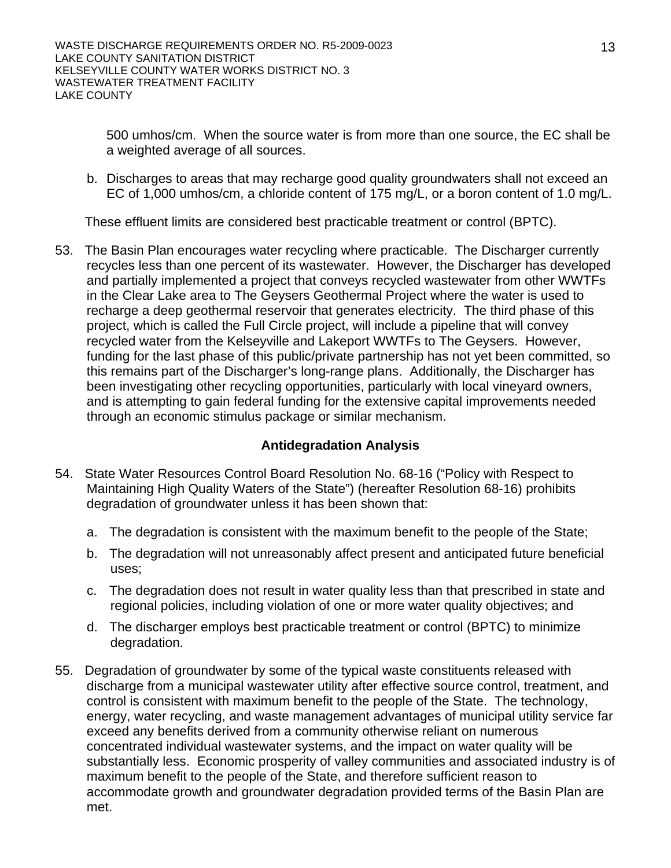500 umhos/cm. When the source water is from more than one source, the EC shall be a weighted average of all sources.

b. Discharges to areas that may recharge good quality groundwaters shall not exceed an EC of 1,000 umhos/cm, a chloride content of 175 mg/L, or a boron content of 1.0 mg/L.

These effluent limits are considered best practicable treatment or control (BPTC).

53. The Basin Plan encourages water recycling where practicable. The Discharger currently recycles less than one percent of its wastewater. However, the Discharger has developed and partially implemented a project that conveys recycled wastewater from other WWTFs in the Clear Lake area to The Geysers Geothermal Project where the water is used to recharge a deep geothermal reservoir that generates electricity. The third phase of this project, which is called the Full Circle project, will include a pipeline that will convey recycled water from the Kelseyville and Lakeport WWTFs to The Geysers. However, funding for the last phase of this public/private partnership has not yet been committed, so this remains part of the Discharger's long-range plans. Additionally, the Discharger has been investigating other recycling opportunities, particularly with local vineyard owners, and is attempting to gain federal funding for the extensive capital improvements needed through an economic stimulus package or similar mechanism.

## **Antidegradation Analysis**

- 54. State Water Resources Control Board Resolution No. 68-16 ("Policy with Respect to Maintaining High Quality Waters of the State") (hereafter Resolution 68-16) prohibits degradation of groundwater unless it has been shown that:
	- a. The degradation is consistent with the maximum benefit to the people of the State;
	- b. The degradation will not unreasonably affect present and anticipated future beneficial uses;
	- c. The degradation does not result in water quality less than that prescribed in state and regional policies, including violation of one or more water quality objectives; and
	- d. The discharger employs best practicable treatment or control (BPTC) to minimize degradation.
- 55. Degradation of groundwater by some of the typical waste constituents released with discharge from a municipal wastewater utility after effective source control, treatment, and control is consistent with maximum benefit to the people of the State. The technology, energy, water recycling, and waste management advantages of municipal utility service far exceed any benefits derived from a community otherwise reliant on numerous concentrated individual wastewater systems, and the impact on water quality will be substantially less. Economic prosperity of valley communities and associated industry is of maximum benefit to the people of the State, and therefore sufficient reason to accommodate growth and groundwater degradation provided terms of the Basin Plan are met.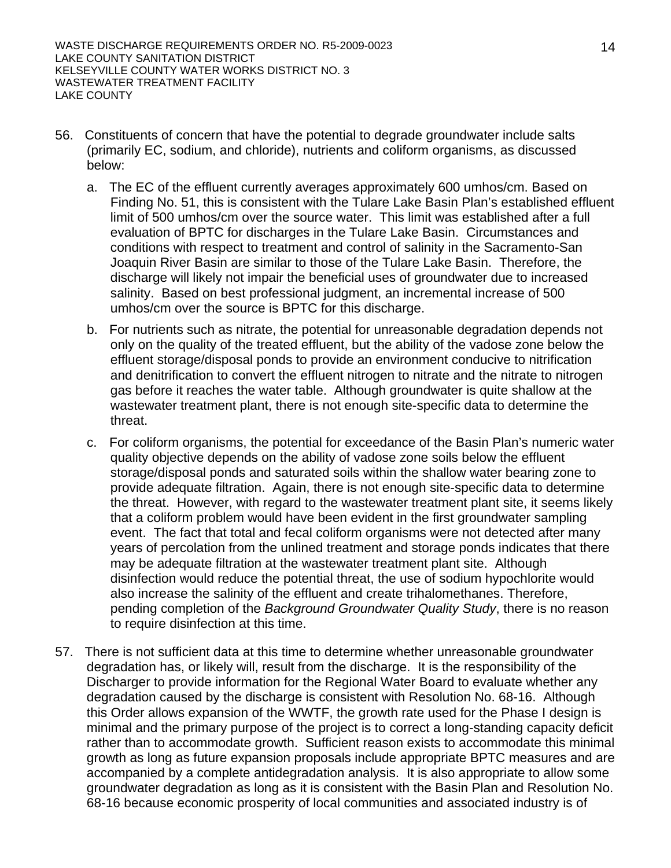- 56. Constituents of concern that have the potential to degrade groundwater include salts (primarily EC, sodium, and chloride), nutrients and coliform organisms, as discussed below:
	- a. The EC of the effluent currently averages approximately 600 umhos/cm. Based on Finding No. 51, this is consistent with the Tulare Lake Basin Plan's established effluent limit of 500 umhos/cm over the source water. This limit was established after a full evaluation of BPTC for discharges in the Tulare Lake Basin. Circumstances and conditions with respect to treatment and control of salinity in the Sacramento-San Joaquin River Basin are similar to those of the Tulare Lake Basin. Therefore, the discharge will likely not impair the beneficial uses of groundwater due to increased salinity. Based on best professional judgment, an incremental increase of 500 umhos/cm over the source is BPTC for this discharge.
	- b. For nutrients such as nitrate, the potential for unreasonable degradation depends not only on the quality of the treated effluent, but the ability of the vadose zone below the effluent storage/disposal ponds to provide an environment conducive to nitrification and denitrification to convert the effluent nitrogen to nitrate and the nitrate to nitrogen gas before it reaches the water table. Although groundwater is quite shallow at the wastewater treatment plant, there is not enough site-specific data to determine the threat.
	- c. For coliform organisms, the potential for exceedance of the Basin Plan's numeric water quality objective depends on the ability of vadose zone soils below the effluent storage/disposal ponds and saturated soils within the shallow water bearing zone to provide adequate filtration. Again, there is not enough site-specific data to determine the threat. However, with regard to the wastewater treatment plant site, it seems likely that a coliform problem would have been evident in the first groundwater sampling event. The fact that total and fecal coliform organisms were not detected after many years of percolation from the unlined treatment and storage ponds indicates that there may be adequate filtration at the wastewater treatment plant site. Although disinfection would reduce the potential threat, the use of sodium hypochlorite would also increase the salinity of the effluent and create trihalomethanes. Therefore, pending completion of the *Background Groundwater Quality Study*, there is no reason to require disinfection at this time.
- 57. There is not sufficient data at this time to determine whether unreasonable groundwater degradation has, or likely will, result from the discharge. It is the responsibility of the Discharger to provide information for the Regional Water Board to evaluate whether any degradation caused by the discharge is consistent with Resolution No. 68-16. Although this Order allows expansion of the WWTF, the growth rate used for the Phase I design is minimal and the primary purpose of the project is to correct a long-standing capacity deficit rather than to accommodate growth. Sufficient reason exists to accommodate this minimal growth as long as future expansion proposals include appropriate BPTC measures and are accompanied by a complete antidegradation analysis. It is also appropriate to allow some groundwater degradation as long as it is consistent with the Basin Plan and Resolution No. 68-16 because economic prosperity of local communities and associated industry is of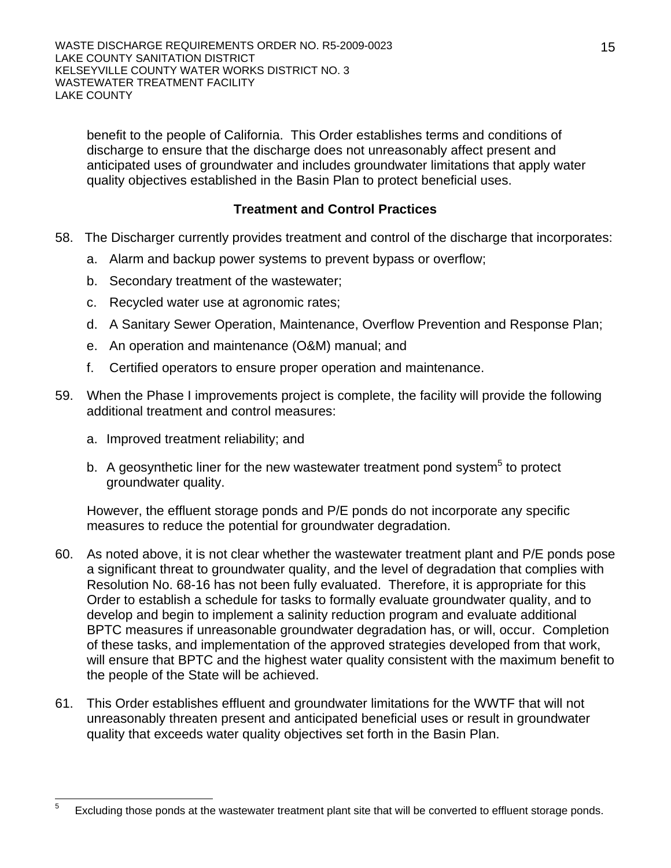benefit to the people of California. This Order establishes terms and conditions of discharge to ensure that the discharge does not unreasonably affect present and anticipated uses of groundwater and includes groundwater limitations that apply water quality objectives established in the Basin Plan to protect beneficial uses.

## **Treatment and Control Practices**

- 58. The Discharger currently provides treatment and control of the discharge that incorporates:
	- a. Alarm and backup power systems to prevent bypass or overflow;
	- b. Secondary treatment of the wastewater;
	- c. Recycled water use at agronomic rates;
	- d. A Sanitary Sewer Operation, Maintenance, Overflow Prevention and Response Plan;
	- e. An operation and maintenance (O&M) manual; and
	- f. Certified operators to ensure proper operation and maintenance.
- 59. When the Phase I improvements project is complete, the facility will provide the following additional treatment and control measures:
	- a. Improved treatment reliability; and
	- b. A geosynthetic liner for the new wastewater treatment pond system<sup>5</sup> to protect groundwater quality.

However, the effluent storage ponds and P/E ponds do not incorporate any specific measures to reduce the potential for groundwater degradation.

- 60. As noted above, it is not clear whether the wastewater treatment plant and P/E ponds pose a significant threat to groundwater quality, and the level of degradation that complies with Resolution No. 68-16 has not been fully evaluated. Therefore, it is appropriate for this Order to establish a schedule for tasks to formally evaluate groundwater quality, and to develop and begin to implement a salinity reduction program and evaluate additional BPTC measures if unreasonable groundwater degradation has, or will, occur. Completion of these tasks, and implementation of the approved strategies developed from that work, will ensure that BPTC and the highest water quality consistent with the maximum benefit to the people of the State will be achieved.
- 61. This Order establishes effluent and groundwater limitations for the WWTF that will not unreasonably threaten present and anticipated beneficial uses or result in groundwater quality that exceeds water quality objectives set forth in the Basin Plan.

 5 Excluding those ponds at the wastewater treatment plant site that will be converted to effluent storage ponds.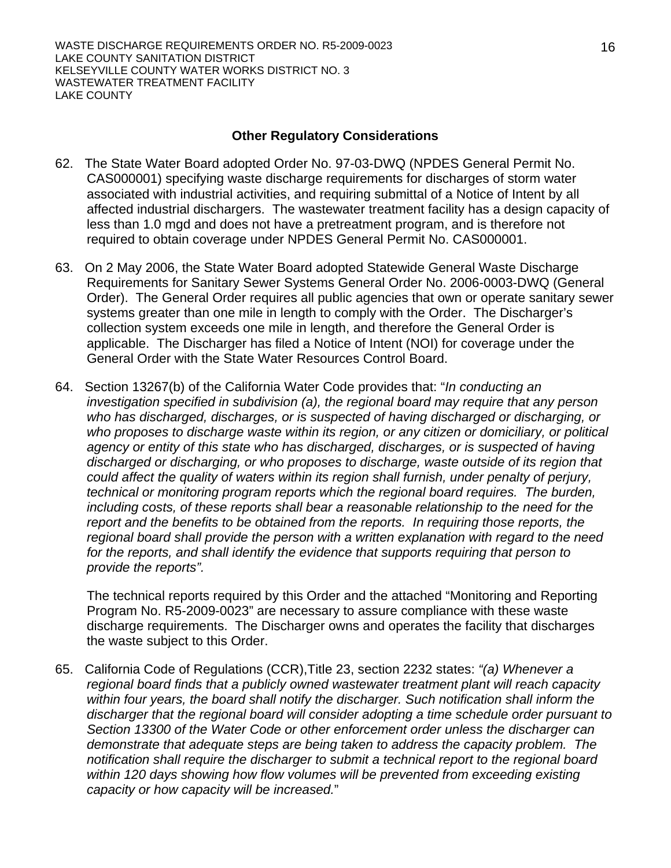#### **Other Regulatory Considerations**

- 62. The State Water Board adopted Order No. 97-03-DWQ (NPDES General Permit No. CAS000001) specifying waste discharge requirements for discharges of storm water associated with industrial activities, and requiring submittal of a Notice of Intent by all affected industrial dischargers. The wastewater treatment facility has a design capacity of less than 1.0 mgd and does not have a pretreatment program, and is therefore not required to obtain coverage under NPDES General Permit No. CAS000001.
- 63. On 2 May 2006, the State Water Board adopted Statewide General Waste Discharge Requirements for Sanitary Sewer Systems General Order No. 2006-0003-DWQ (General Order). The General Order requires all public agencies that own or operate sanitary sewer systems greater than one mile in length to comply with the Order. The Discharger's collection system exceeds one mile in length, and therefore the General Order is applicable. The Discharger has filed a Notice of Intent (NOI) for coverage under the General Order with the State Water Resources Control Board.
- 64. Section 13267(b) of the California Water Code provides that: "*In conducting an investigation specified in subdivision (a), the regional board may require that any person who has discharged, discharges, or is suspected of having discharged or discharging, or who proposes to discharge waste within its region, or any citizen or domiciliary, or political agency or entity of this state who has discharged, discharges, or is suspected of having discharged or discharging, or who proposes to discharge, waste outside of its region that could affect the quality of waters within its region shall furnish, under penalty of perjury, technical or monitoring program reports which the regional board requires. The burden, including costs, of these reports shall bear a reasonable relationship to the need for the report and the benefits to be obtained from the reports. In requiring those reports, the regional board shall provide the person with a written explanation with regard to the need*  for the reports, and shall identify the evidence that supports requiring that person to *provide the reports".*

The technical reports required by this Order and the attached "Monitoring and Reporting Program No. R5-2009-0023" are necessary to assure compliance with these waste discharge requirements. The Discharger owns and operates the facility that discharges the waste subject to this Order.

65. California Code of Regulations (CCR),Title 23, section 2232 states: *"(a) Whenever a regional board finds that a publicly owned wastewater treatment plant will reach capacity within four years, the board shall notify the discharger. Such notification shall inform the discharger that the regional board will consider adopting a time schedule order pursuant to Section 13300 of the Water Code or other enforcement order unless the discharger can demonstrate that adequate steps are being taken to address the capacity problem. The notification shall require the discharger to submit a technical report to the regional board*  within 120 days showing how flow volumes will be prevented from exceeding existing *capacity or how capacity will be increased.*"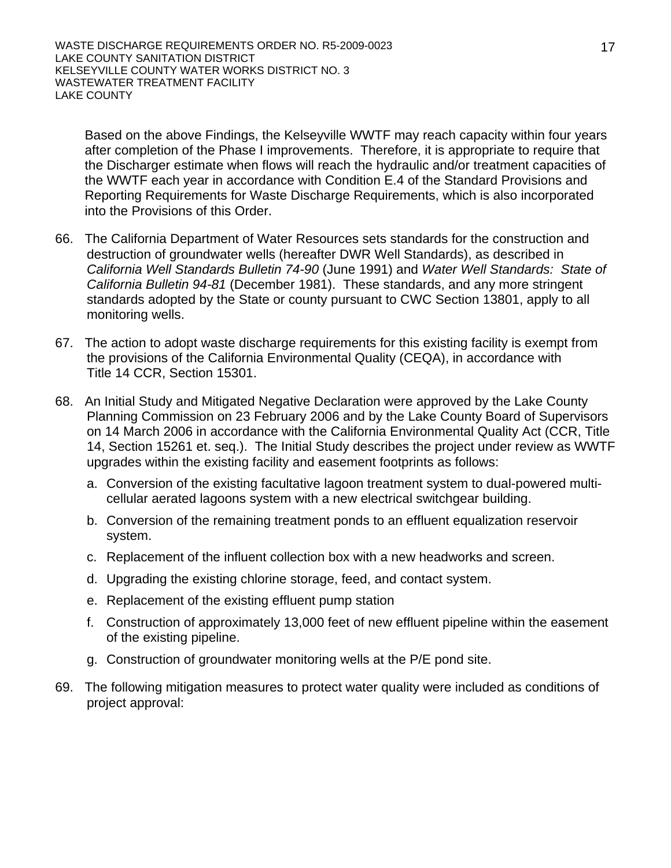Based on the above Findings, the Kelseyville WWTF may reach capacity within four years after completion of the Phase I improvements. Therefore, it is appropriate to require that the Discharger estimate when flows will reach the hydraulic and/or treatment capacities of the WWTF each year in accordance with Condition E.4 of the Standard Provisions and Reporting Requirements for Waste Discharge Requirements, which is also incorporated into the Provisions of this Order.

- 66. The California Department of Water Resources sets standards for the construction and destruction of groundwater wells (hereafter DWR Well Standards), as described in *California Well Standards Bulletin 74-90* (June 1991) and *Water Well Standards: State of California Bulletin 94-81* (December 1981). These standards, and any more stringent standards adopted by the State or county pursuant to CWC Section 13801, apply to all monitoring wells.
- 67. The action to adopt waste discharge requirements for this existing facility is exempt from the provisions of the California Environmental Quality (CEQA), in accordance with Title 14 CCR, Section 15301.
- 68. An Initial Study and Mitigated Negative Declaration were approved by the Lake County Planning Commission on 23 February 2006 and by the Lake County Board of Supervisors on 14 March 2006 in accordance with the California Environmental Quality Act (CCR, Title 14, Section 15261 et. seq.). The Initial Study describes the project under review as WWTF upgrades within the existing facility and easement footprints as follows:
	- a. Conversion of the existing facultative lagoon treatment system to dual-powered multicellular aerated lagoons system with a new electrical switchgear building.
	- b. Conversion of the remaining treatment ponds to an effluent equalization reservoir system.
	- c. Replacement of the influent collection box with a new headworks and screen.
	- d. Upgrading the existing chlorine storage, feed, and contact system.
	- e. Replacement of the existing effluent pump station
	- f. Construction of approximately 13,000 feet of new effluent pipeline within the easement of the existing pipeline.
	- g. Construction of groundwater monitoring wells at the P/E pond site.
- 69. The following mitigation measures to protect water quality were included as conditions of project approval: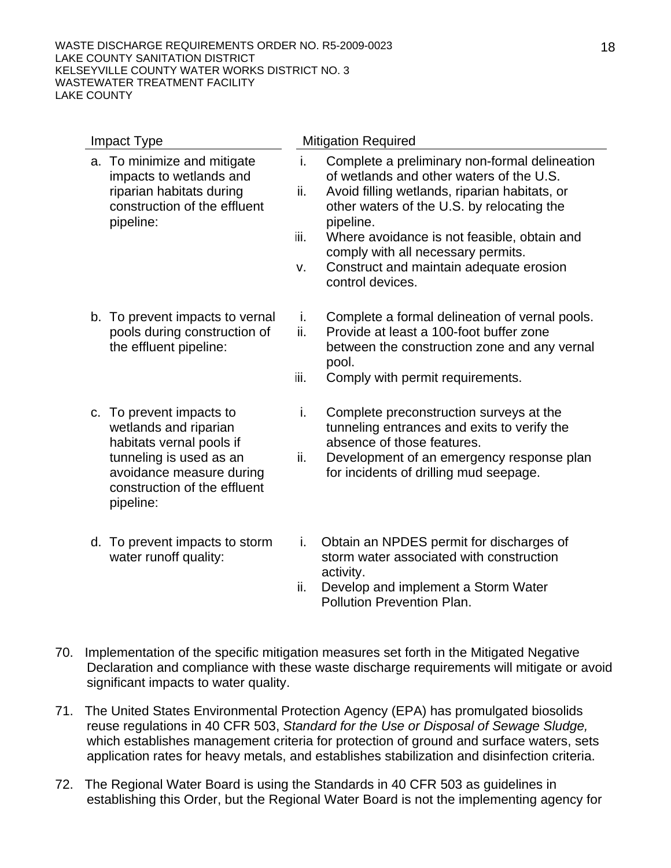| Impact Type                                                                                                                                                                       | <b>Mitigation Required</b>                                                                                                                                                                                                                                                                                                                                                           |
|-----------------------------------------------------------------------------------------------------------------------------------------------------------------------------------|--------------------------------------------------------------------------------------------------------------------------------------------------------------------------------------------------------------------------------------------------------------------------------------------------------------------------------------------------------------------------------------|
| a. To minimize and mitigate<br>impacts to wetlands and<br>riparian habitats during<br>construction of the effluent<br>pipeline:                                                   | i.<br>Complete a preliminary non-formal delineation<br>of wetlands and other waters of the U.S.<br>ii.<br>Avoid filling wetlands, riparian habitats, or<br>other waters of the U.S. by relocating the<br>pipeline.<br>iii.<br>Where avoidance is not feasible, obtain and<br>comply with all necessary permits.<br>Construct and maintain adequate erosion<br>v.<br>control devices. |
| b. To prevent impacts to vernal<br>pools during construction of<br>the effluent pipeline:                                                                                         | Complete a formal delineation of vernal pools.<br>i.<br>ii.<br>Provide at least a 100-foot buffer zone<br>between the construction zone and any vernal<br>pool.<br>iii.<br>Comply with permit requirements.                                                                                                                                                                          |
| c. To prevent impacts to<br>wetlands and riparian<br>habitats vernal pools if<br>tunneling is used as an<br>avoidance measure during<br>construction of the effluent<br>pipeline: | Complete preconstruction surveys at the<br>i.<br>tunneling entrances and exits to verify the<br>absence of those features.<br>Development of an emergency response plan<br>ii.<br>for incidents of drilling mud seepage.                                                                                                                                                             |
| d. To prevent impacts to storm<br>water runoff quality:                                                                                                                           | Obtain an NPDES permit for discharges of<br>i.<br>storm water associated with construction<br>activity.                                                                                                                                                                                                                                                                              |

- ii. Develop and implement a Storm Water Pollution Prevention Plan.
- 70. Implementation of the specific mitigation measures set forth in the Mitigated Negative Declaration and compliance with these waste discharge requirements will mitigate or avoid significant impacts to water quality.
- 71. The United States Environmental Protection Agency (EPA) has promulgated biosolids reuse regulations in 40 CFR 503, *Standard for the Use or Disposal of Sewage Sludge,*  which establishes management criteria for protection of ground and surface waters, sets application rates for heavy metals, and establishes stabilization and disinfection criteria.
- 72. The Regional Water Board is using the Standards in 40 CFR 503 as guidelines in establishing this Order, but the Regional Water Board is not the implementing agency for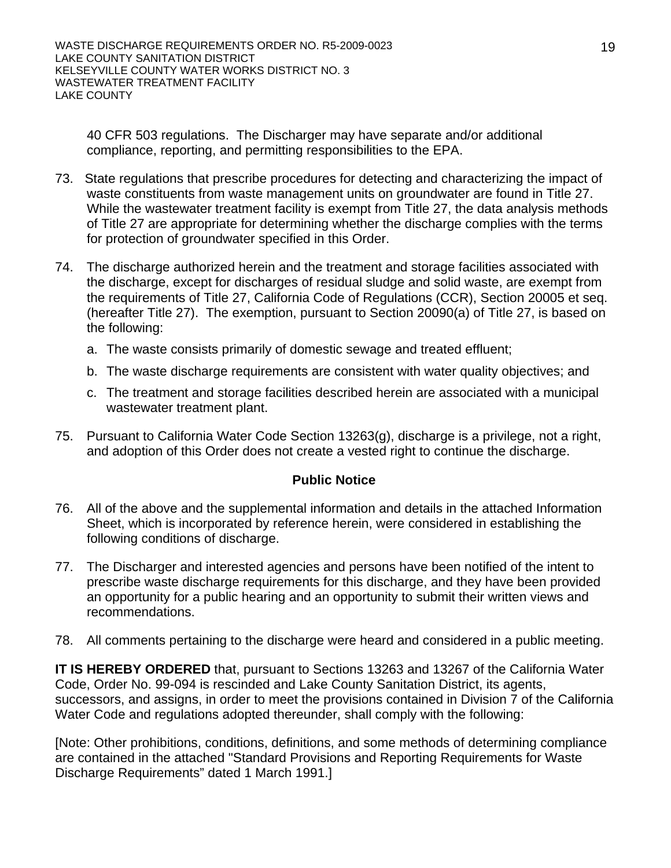40 CFR 503 regulations. The Discharger may have separate and/or additional compliance, reporting, and permitting responsibilities to the EPA.

- 73. State regulations that prescribe procedures for detecting and characterizing the impact of waste constituents from waste management units on groundwater are found in Title 27. While the wastewater treatment facility is exempt from Title 27, the data analysis methods of Title 27 are appropriate for determining whether the discharge complies with the terms for protection of groundwater specified in this Order.
- 74. The discharge authorized herein and the treatment and storage facilities associated with the discharge, except for discharges of residual sludge and solid waste, are exempt from the requirements of Title 27, California Code of Regulations (CCR), Section 20005 et seq. (hereafter Title 27). The exemption, pursuant to Section 20090(a) of Title 27, is based on the following:
	- a. The waste consists primarily of domestic sewage and treated effluent;
	- b. The waste discharge requirements are consistent with water quality objectives; and
	- c. The treatment and storage facilities described herein are associated with a municipal wastewater treatment plant.
- 75. Pursuant to California Water Code Section 13263(g), discharge is a privilege, not a right, and adoption of this Order does not create a vested right to continue the discharge.

#### **Public Notice**

- 76. All of the above and the supplemental information and details in the attached Information Sheet, which is incorporated by reference herein, were considered in establishing the following conditions of discharge.
- 77. The Discharger and interested agencies and persons have been notified of the intent to prescribe waste discharge requirements for this discharge, and they have been provided an opportunity for a public hearing and an opportunity to submit their written views and recommendations.
- 78. All comments pertaining to the discharge were heard and considered in a public meeting.

**IT IS HEREBY ORDERED** that, pursuant to Sections 13263 and 13267 of the California Water Code, Order No. 99-094 is rescinded and Lake County Sanitation District, its agents, successors, and assigns, in order to meet the provisions contained in Division 7 of the California Water Code and regulations adopted thereunder, shall comply with the following:

[Note: Other prohibitions, conditions, definitions, and some methods of determining compliance are contained in the attached "Standard Provisions and Reporting Requirements for Waste Discharge Requirements" dated 1 March 1991.]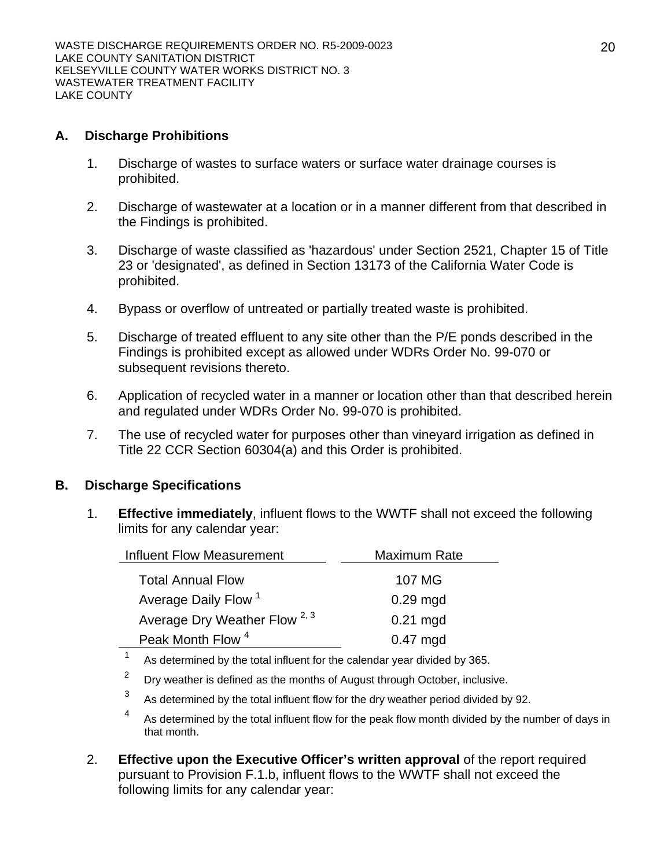#### **A. Discharge Prohibitions**

- 1. Discharge of wastes to surface waters or surface water drainage courses is prohibited.
- 2. Discharge of wastewater at a location or in a manner different from that described in the Findings is prohibited.
- 3. Discharge of waste classified as 'hazardous' under Section 2521, Chapter 15 of Title 23 or 'designated', as defined in Section 13173 of the California Water Code is prohibited.
- 4. Bypass or overflow of untreated or partially treated waste is prohibited.
- 5. Discharge of treated effluent to any site other than the P/E ponds described in the Findings is prohibited except as allowed under WDRs Order No. 99-070 or subsequent revisions thereto.
- 6. Application of recycled water in a manner or location other than that described herein and regulated under WDRs Order No. 99-070 is prohibited.
- 7. The use of recycled water for purposes other than vineyard irrigation as defined in Title 22 CCR Section 60304(a) and this Order is prohibited.

### **B. Discharge Specifications**

1. **Effective immediately**, influent flows to the WWTF shall not exceed the following limits for any calendar year:

| <b>Influent Flow Measurement</b>         | Maximum Rate |
|------------------------------------------|--------------|
| <b>Total Annual Flow</b>                 | 107 MG       |
| Average Daily Flow <sup>1</sup>          | $0.29$ mgd   |
| Average Dry Weather Flow <sup>2, 3</sup> | $0.21$ mgd   |
| Peak Month Flow <sup>4</sup>             | $0.47$ mgd   |
|                                          |              |

<sup>1</sup> As determined by the total influent for the calendar year divided by 365.

- $2^2$  Dry weather is defined as the months of August through October, inclusive.
- As determined by the total influent flow for the dry weather period divided by 92.
- 4 As determined by the total influent flow for the peak flow month divided by the number of days in that month.
- 2. **Effective upon the Executive Officer's written approval** of the report required pursuant to Provision F.1.b, influent flows to the WWTF shall not exceed the following limits for any calendar year: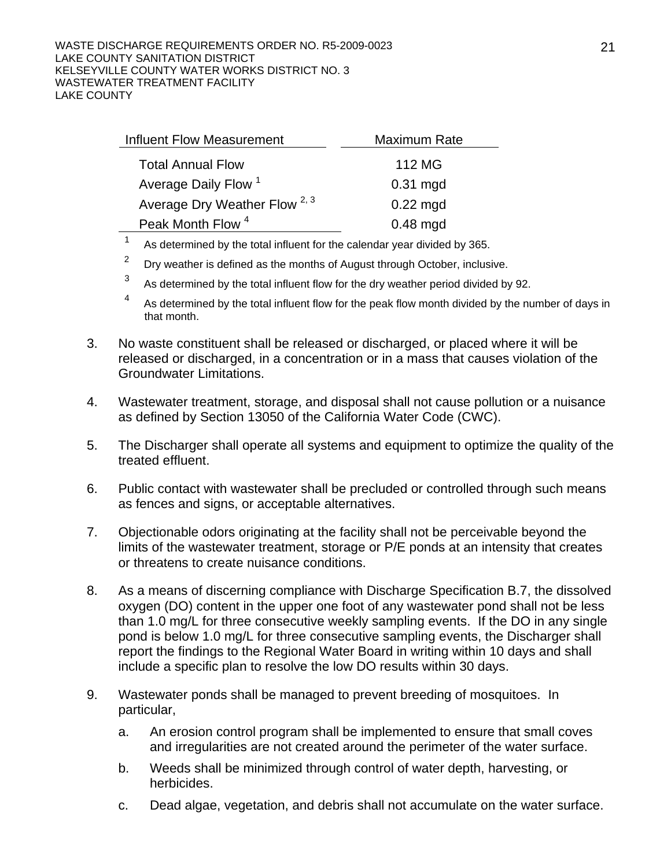| Influent Flow Measurement                | Maximum Rate |
|------------------------------------------|--------------|
| <b>Total Annual Flow</b>                 | 112 MG       |
| Average Daily Flow <sup>1</sup>          | $0.31$ mgd   |
| Average Dry Weather Flow <sup>2, 3</sup> | $0.22$ mgd   |
| Peak Month Flow <sup>4</sup>             | $0.48$ mgd   |
|                                          |              |

As determined by the total influent for the calendar year divided by 365.

- $2^{2}$  Dry weather is defined as the months of August through October, inclusive.
- $3<sup>3</sup>$  As determined by the total influent flow for the dry weather period divided by 92.
- 4 As determined by the total influent flow for the peak flow month divided by the number of days in that month.
- 3. No waste constituent shall be released or discharged, or placed where it will be released or discharged, in a concentration or in a mass that causes violation of the Groundwater Limitations.
- 4. Wastewater treatment, storage, and disposal shall not cause pollution or a nuisance as defined by Section 13050 of the California Water Code (CWC).
- 5. The Discharger shall operate all systems and equipment to optimize the quality of the treated effluent.
- 6. Public contact with wastewater shall be precluded or controlled through such means as fences and signs, or acceptable alternatives.
- 7. Objectionable odors originating at the facility shall not be perceivable beyond the limits of the wastewater treatment, storage or P/E ponds at an intensity that creates or threatens to create nuisance conditions.
- 8. As a means of discerning compliance with Discharge Specification B.7, the dissolved oxygen (DO) content in the upper one foot of any wastewater pond shall not be less than 1.0 mg/L for three consecutive weekly sampling events. If the DO in any single pond is below 1.0 mg/L for three consecutive sampling events, the Discharger shall report the findings to the Regional Water Board in writing within 10 days and shall include a specific plan to resolve the low DO results within 30 days.
- 9. Wastewater ponds shall be managed to prevent breeding of mosquitoes. In particular,
	- a. An erosion control program shall be implemented to ensure that small coves and irregularities are not created around the perimeter of the water surface.
	- b. Weeds shall be minimized through control of water depth, harvesting, or herbicides.
	- c. Dead algae, vegetation, and debris shall not accumulate on the water surface.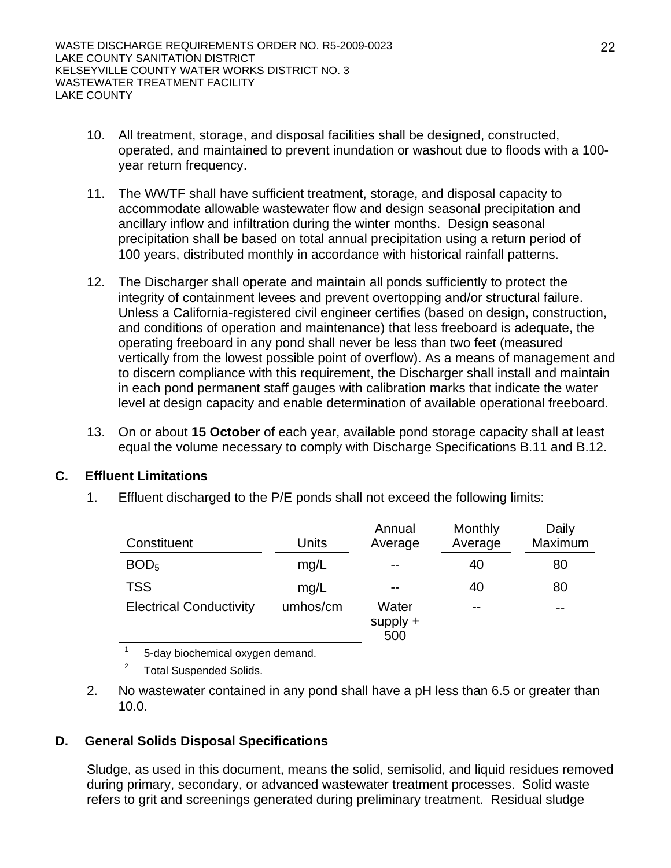- 10. All treatment, storage, and disposal facilities shall be designed, constructed, operated, and maintained to prevent inundation or washout due to floods with a 100 year return frequency.
- 11. The WWTF shall have sufficient treatment, storage, and disposal capacity to accommodate allowable wastewater flow and design seasonal precipitation and ancillary inflow and infiltration during the winter months. Design seasonal precipitation shall be based on total annual precipitation using a return period of 100 years, distributed monthly in accordance with historical rainfall patterns.
- 12. The Discharger shall operate and maintain all ponds sufficiently to protect the integrity of containment levees and prevent overtopping and/or structural failure. Unless a California-registered civil engineer certifies (based on design, construction, and conditions of operation and maintenance) that less freeboard is adequate, the operating freeboard in any pond shall never be less than two feet (measured vertically from the lowest possible point of overflow). As a means of management and to discern compliance with this requirement, the Discharger shall install and maintain in each pond permanent staff gauges with calibration marks that indicate the water level at design capacity and enable determination of available operational freeboard.
- 13. On or about **15 October** of each year, available pond storage capacity shall at least equal the volume necessary to comply with Discharge Specifications B.11 and B.12.

### **C. Effluent Limitations**

1. Effluent discharged to the P/E ponds shall not exceed the following limits:

| Constituent                    | Units    | Annual<br>Average          | Monthly<br>Average | Daily<br>Maximum |
|--------------------------------|----------|----------------------------|--------------------|------------------|
| BOD <sub>5</sub>               | mg/L     | $- -$                      | 40                 | 80               |
| <b>TSS</b>                     | mg/L     | $- -$                      | 40                 | 80               |
| <b>Electrical Conductivity</b> | umhos/cm | Water<br>$supply +$<br>500 | $- -$              | --               |
|                                |          |                            |                    |                  |

1 5-day biochemical oxygen demand.

2 Total Suspended Solids.

2. No wastewater contained in any pond shall have a pH less than 6.5 or greater than 10.0.

## **D. General Solids Disposal Specifications**

Sludge, as used in this document, means the solid, semisolid, and liquid residues removed during primary, secondary, or advanced wastewater treatment processes. Solid waste refers to grit and screenings generated during preliminary treatment. Residual sludge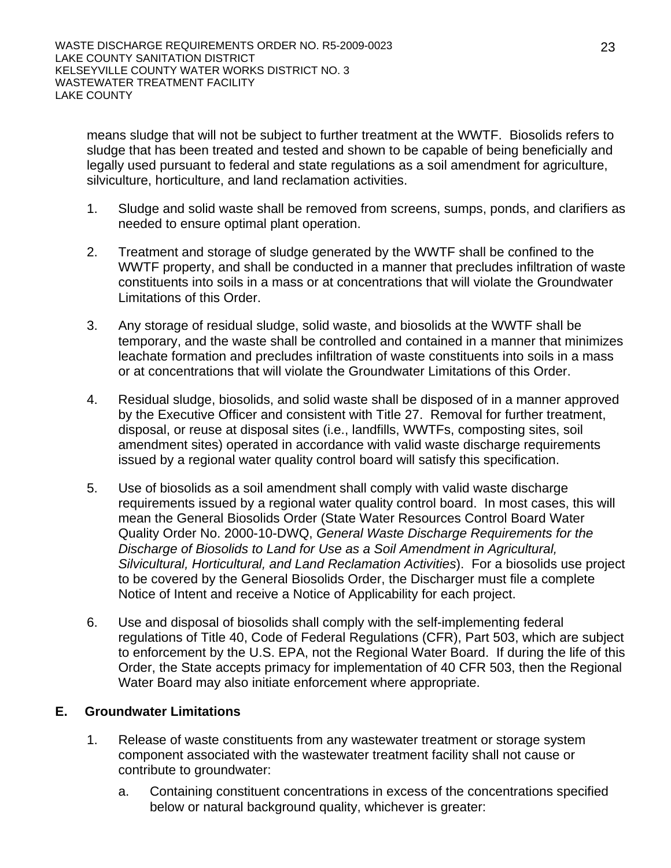means sludge that will not be subject to further treatment at the WWTF. Biosolids refers to sludge that has been treated and tested and shown to be capable of being beneficially and legally used pursuant to federal and state regulations as a soil amendment for agriculture, silviculture, horticulture, and land reclamation activities.

- 1. Sludge and solid waste shall be removed from screens, sumps, ponds, and clarifiers as needed to ensure optimal plant operation.
- 2. Treatment and storage of sludge generated by the WWTF shall be confined to the WWTF property, and shall be conducted in a manner that precludes infiltration of waste constituents into soils in a mass or at concentrations that will violate the Groundwater Limitations of this Order.
- 3. Any storage of residual sludge, solid waste, and biosolids at the WWTF shall be temporary, and the waste shall be controlled and contained in a manner that minimizes leachate formation and precludes infiltration of waste constituents into soils in a mass or at concentrations that will violate the Groundwater Limitations of this Order.
- 4. Residual sludge, biosolids, and solid waste shall be disposed of in a manner approved by the Executive Officer and consistent with Title 27. Removal for further treatment, disposal, or reuse at disposal sites (i.e., landfills, WWTFs, composting sites, soil amendment sites) operated in accordance with valid waste discharge requirements issued by a regional water quality control board will satisfy this specification.
- 5. Use of biosolids as a soil amendment shall comply with valid waste discharge requirements issued by a regional water quality control board. In most cases, this will mean the General Biosolids Order (State Water Resources Control Board Water Quality Order No. 2000-10-DWQ, *General Waste Discharge Requirements for the Discharge of Biosolids to Land for Use as a Soil Amendment in Agricultural, Silvicultural, Horticultural, and Land Reclamation Activities*). For a biosolids use project to be covered by the General Biosolids Order, the Discharger must file a complete Notice of Intent and receive a Notice of Applicability for each project.
- 6. Use and disposal of biosolids shall comply with the self-implementing federal regulations of Title 40, Code of Federal Regulations (CFR), Part 503, which are subject to enforcement by the U.S. EPA, not the Regional Water Board. If during the life of this Order, the State accepts primacy for implementation of 40 CFR 503, then the Regional Water Board may also initiate enforcement where appropriate.

## **E. Groundwater Limitations**

- 1. Release of waste constituents from any wastewater treatment or storage system component associated with the wastewater treatment facility shall not cause or contribute to groundwater:
	- a. Containing constituent concentrations in excess of the concentrations specified below or natural background quality, whichever is greater: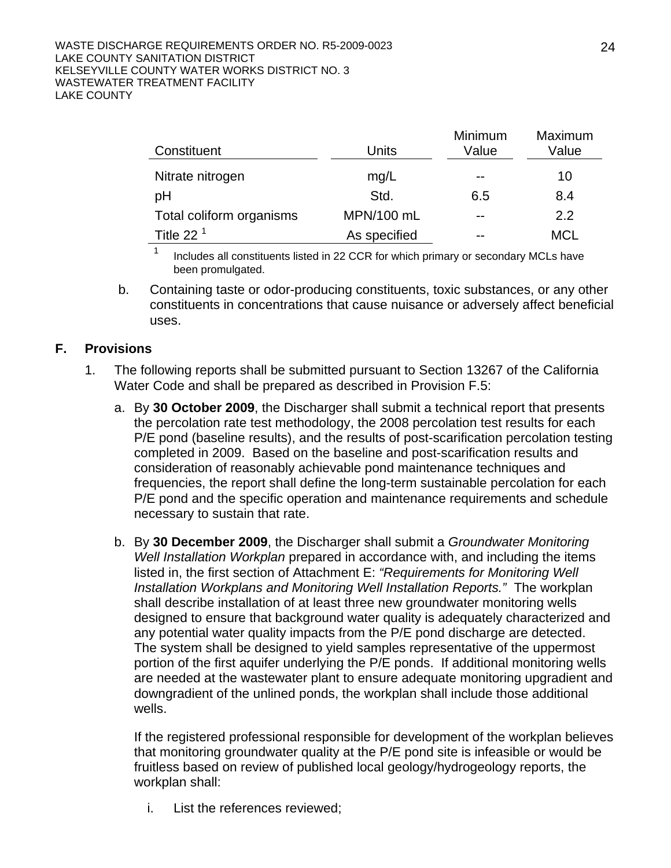#### WASTE DISCHARGE REQUIREMENTS ORDER NO. R5-2009-0023 LAKE COUNTY SANITATION DISTRICT KELSEYVILLE COUNTY WATER WORKS DISTRICT NO. 3 WASTEWATER TREATMENT FACILITY LAKE COUNTY

| Constituent              | Units        | Minimum<br>Value | Maximum<br>Value |
|--------------------------|--------------|------------------|------------------|
| Nitrate nitrogen         | mg/L         | $- -$            | 10               |
| pH                       | Std.         | 6.5              | 8.4              |
| Total coliform organisms | MPN/100 mL   | --               | 2.2              |
| Title 22 $1$             | As specified | $-$              | <b>MCL</b>       |

 $1$  Includes all constituents listed in 22 CCR for which primary or secondary MCLs have been promulgated.

b. Containing taste or odor-producing constituents, toxic substances, or any other constituents in concentrations that cause nuisance or adversely affect beneficial uses.

#### **F. Provisions**

- 1. The following reports shall be submitted pursuant to Section 13267 of the California Water Code and shall be prepared as described in Provision F.5:
	- a. By **30 October 2009**, the Discharger shall submit a technical report that presents the percolation rate test methodology, the 2008 percolation test results for each P/E pond (baseline results), and the results of post-scarification percolation testing completed in 2009. Based on the baseline and post-scarification results and consideration of reasonably achievable pond maintenance techniques and frequencies, the report shall define the long-term sustainable percolation for each P/E pond and the specific operation and maintenance requirements and schedule necessary to sustain that rate.
	- b. By **30 December 2009**, the Discharger shall submit a *Groundwater Monitoring Well Installation Workplan* prepared in accordance with, and including the items listed in, the first section of Attachment E: *"Requirements for Monitoring Well Installation Workplans and Monitoring Well Installation Reports."* The workplan shall describe installation of at least three new groundwater monitoring wells designed to ensure that background water quality is adequately characterized and any potential water quality impacts from the P/E pond discharge are detected. The system shall be designed to yield samples representative of the uppermost portion of the first aquifer underlying the P/E ponds. If additional monitoring wells are needed at the wastewater plant to ensure adequate monitoring upgradient and downgradient of the unlined ponds, the workplan shall include those additional wells.

If the registered professional responsible for development of the workplan believes that monitoring groundwater quality at the P/E pond site is infeasible or would be fruitless based on review of published local geology/hydrogeology reports, the workplan shall:

i. List the references reviewed;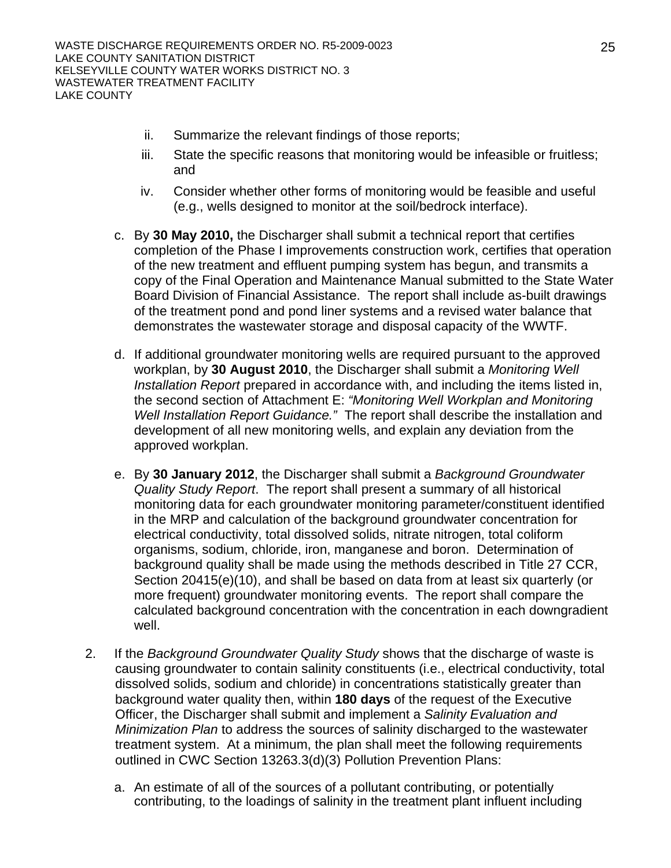- ii. Summarize the relevant findings of those reports;
- iii. State the specific reasons that monitoring would be infeasible or fruitless; and
- iv. Consider whether other forms of monitoring would be feasible and useful (e.g., wells designed to monitor at the soil/bedrock interface).
- c. By **30 May 2010,** the Discharger shall submit a technical report that certifies completion of the Phase I improvements construction work, certifies that operation of the new treatment and effluent pumping system has begun, and transmits a copy of the Final Operation and Maintenance Manual submitted to the State Water Board Division of Financial Assistance. The report shall include as-built drawings of the treatment pond and pond liner systems and a revised water balance that demonstrates the wastewater storage and disposal capacity of the WWTF.
- d. If additional groundwater monitoring wells are required pursuant to the approved workplan, by **30 August 2010**, the Discharger shall submit a *Monitoring Well Installation Report* prepared in accordance with, and including the items listed in, the second section of Attachment E: *"Monitoring Well Workplan and Monitoring Well Installation Report Guidance."* The report shall describe the installation and development of all new monitoring wells, and explain any deviation from the approved workplan.
- e. By **30 January 2012**, the Discharger shall submit a *Background Groundwater Quality Study Report*. The report shall present a summary of all historical monitoring data for each groundwater monitoring parameter/constituent identified in the MRP and calculation of the background groundwater concentration for electrical conductivity, total dissolved solids, nitrate nitrogen, total coliform organisms, sodium, chloride, iron, manganese and boron. Determination of background quality shall be made using the methods described in Title 27 CCR, Section 20415(e)(10), and shall be based on data from at least six quarterly (or more frequent) groundwater monitoring events. The report shall compare the calculated background concentration with the concentration in each downgradient well.
- 2. If the *Background Groundwater Quality Study* shows that the discharge of waste is causing groundwater to contain salinity constituents (i.e., electrical conductivity, total dissolved solids, sodium and chloride) in concentrations statistically greater than background water quality then, within **180 days** of the request of the Executive Officer, the Discharger shall submit and implement a *Salinity Evaluation and Minimization Plan* to address the sources of salinity discharged to the wastewater treatment system. At a minimum, the plan shall meet the following requirements outlined in CWC Section 13263.3(d)(3) Pollution Prevention Plans:
	- a. An estimate of all of the sources of a pollutant contributing, or potentially contributing, to the loadings of salinity in the treatment plant influent including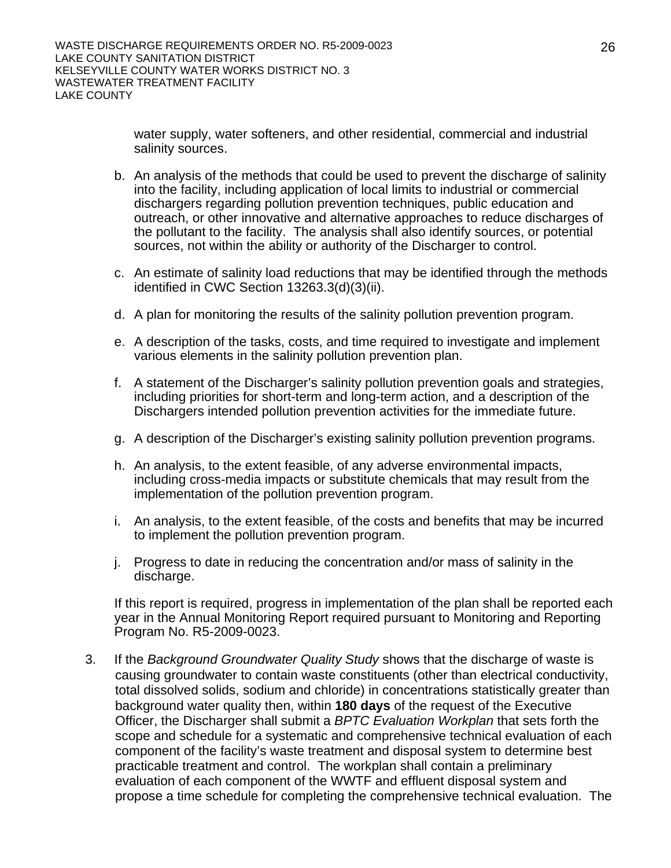water supply, water softeners, and other residential, commercial and industrial salinity sources.

- b. An analysis of the methods that could be used to prevent the discharge of salinity into the facility, including application of local limits to industrial or commercial dischargers regarding pollution prevention techniques, public education and outreach, or other innovative and alternative approaches to reduce discharges of the pollutant to the facility. The analysis shall also identify sources, or potential sources, not within the ability or authority of the Discharger to control.
- c. An estimate of salinity load reductions that may be identified through the methods identified in CWC Section 13263.3(d)(3)(ii).
- d. A plan for monitoring the results of the salinity pollution prevention program.
- e. A description of the tasks, costs, and time required to investigate and implement various elements in the salinity pollution prevention plan.
- f. A statement of the Discharger's salinity pollution prevention goals and strategies, including priorities for short-term and long-term action, and a description of the Dischargers intended pollution prevention activities for the immediate future.
- g. A description of the Discharger's existing salinity pollution prevention programs.
- h. An analysis, to the extent feasible, of any adverse environmental impacts, including cross-media impacts or substitute chemicals that may result from the implementation of the pollution prevention program.
- i. An analysis, to the extent feasible, of the costs and benefits that may be incurred to implement the pollution prevention program.
- j. Progress to date in reducing the concentration and/or mass of salinity in the discharge.

If this report is required, progress in implementation of the plan shall be reported each year in the Annual Monitoring Report required pursuant to Monitoring and Reporting Program No. R5-2009-0023.

3. If the *Background Groundwater Quality Study* shows that the discharge of waste is causing groundwater to contain waste constituents (other than electrical conductivity, total dissolved solids, sodium and chloride) in concentrations statistically greater than background water quality then, within **180 days** of the request of the Executive Officer, the Discharger shall submit a *BPTC Evaluation Workplan* that sets forth the scope and schedule for a systematic and comprehensive technical evaluation of each component of the facility's waste treatment and disposal system to determine best practicable treatment and control. The workplan shall contain a preliminary evaluation of each component of the WWTF and effluent disposal system and propose a time schedule for completing the comprehensive technical evaluation. The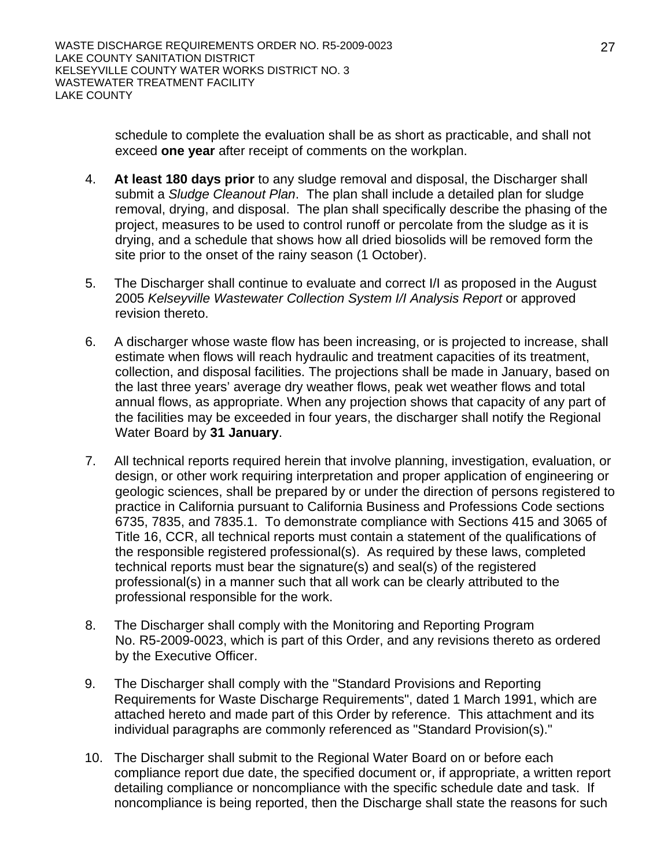schedule to complete the evaluation shall be as short as practicable, and shall not exceed **one year** after receipt of comments on the workplan.

- 4. **At least 180 days prior** to any sludge removal and disposal, the Discharger shall submit a *Sludge Cleanout Plan*. The plan shall include a detailed plan for sludge removal, drying, and disposal. The plan shall specifically describe the phasing of the project, measures to be used to control runoff or percolate from the sludge as it is drying, and a schedule that shows how all dried biosolids will be removed form the site prior to the onset of the rainy season (1 October).
- 5. The Discharger shall continue to evaluate and correct I/I as proposed in the August 2005 *Kelseyville Wastewater Collection System I/I Analysis Report* or approved revision thereto.
- 6. A discharger whose waste flow has been increasing, or is projected to increase, shall estimate when flows will reach hydraulic and treatment capacities of its treatment, collection, and disposal facilities. The projections shall be made in January, based on the last three years' average dry weather flows, peak wet weather flows and total annual flows, as appropriate. When any projection shows that capacity of any part of the facilities may be exceeded in four years, the discharger shall notify the Regional Water Board by **31 January**.
- 7. All technical reports required herein that involve planning, investigation, evaluation, or design, or other work requiring interpretation and proper application of engineering or geologic sciences, shall be prepared by or under the direction of persons registered to practice in California pursuant to California Business and Professions Code sections 6735, 7835, and 7835.1. To demonstrate compliance with Sections 415 and 3065 of Title 16, CCR, all technical reports must contain a statement of the qualifications of the responsible registered professional(s). As required by these laws, completed technical reports must bear the signature(s) and seal(s) of the registered professional(s) in a manner such that all work can be clearly attributed to the professional responsible for the work.
- 8. The Discharger shall comply with the Monitoring and Reporting Program No. R5-2009-0023, which is part of this Order, and any revisions thereto as ordered by the Executive Officer.
- 9. The Discharger shall comply with the "Standard Provisions and Reporting Requirements for Waste Discharge Requirements", dated 1 March 1991, which are attached hereto and made part of this Order by reference. This attachment and its individual paragraphs are commonly referenced as "Standard Provision(s)."
- 10. The Discharger shall submit to the Regional Water Board on or before each compliance report due date, the specified document or, if appropriate, a written report detailing compliance or noncompliance with the specific schedule date and task. If noncompliance is being reported, then the Discharge shall state the reasons for such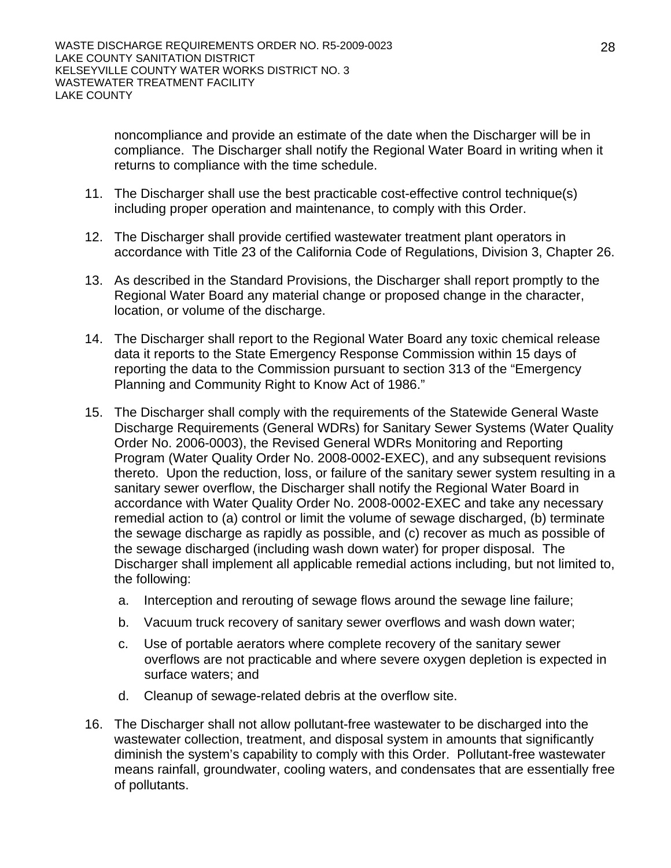noncompliance and provide an estimate of the date when the Discharger will be in compliance. The Discharger shall notify the Regional Water Board in writing when it returns to compliance with the time schedule.

- 11. The Discharger shall use the best practicable cost-effective control technique(s) including proper operation and maintenance, to comply with this Order.
- 12. The Discharger shall provide certified wastewater treatment plant operators in accordance with Title 23 of the California Code of Regulations, Division 3, Chapter 26.
- 13. As described in the Standard Provisions, the Discharger shall report promptly to the Regional Water Board any material change or proposed change in the character, location, or volume of the discharge.
- 14. The Discharger shall report to the Regional Water Board any toxic chemical release data it reports to the State Emergency Response Commission within 15 days of reporting the data to the Commission pursuant to section 313 of the "Emergency Planning and Community Right to Know Act of 1986."
- 15. The Discharger shall comply with the requirements of the Statewide General Waste Discharge Requirements (General WDRs) for Sanitary Sewer Systems (Water Quality Order No. 2006-0003), the Revised General WDRs Monitoring and Reporting Program (Water Quality Order No. 2008-0002-EXEC), and any subsequent revisions thereto. Upon the reduction, loss, or failure of the sanitary sewer system resulting in a sanitary sewer overflow, the Discharger shall notify the Regional Water Board in accordance with Water Quality Order No. 2008-0002-EXEC and take any necessary remedial action to (a) control or limit the volume of sewage discharged, (b) terminate the sewage discharge as rapidly as possible, and (c) recover as much as possible of the sewage discharged (including wash down water) for proper disposal. The Discharger shall implement all applicable remedial actions including, but not limited to, the following:
	- a. Interception and rerouting of sewage flows around the sewage line failure;
	- b. Vacuum truck recovery of sanitary sewer overflows and wash down water;
	- c. Use of portable aerators where complete recovery of the sanitary sewer overflows are not practicable and where severe oxygen depletion is expected in surface waters; and
	- d. Cleanup of sewage-related debris at the overflow site.
- 16. The Discharger shall not allow pollutant-free wastewater to be discharged into the wastewater collection, treatment, and disposal system in amounts that significantly diminish the system's capability to comply with this Order. Pollutant-free wastewater means rainfall, groundwater, cooling waters, and condensates that are essentially free of pollutants.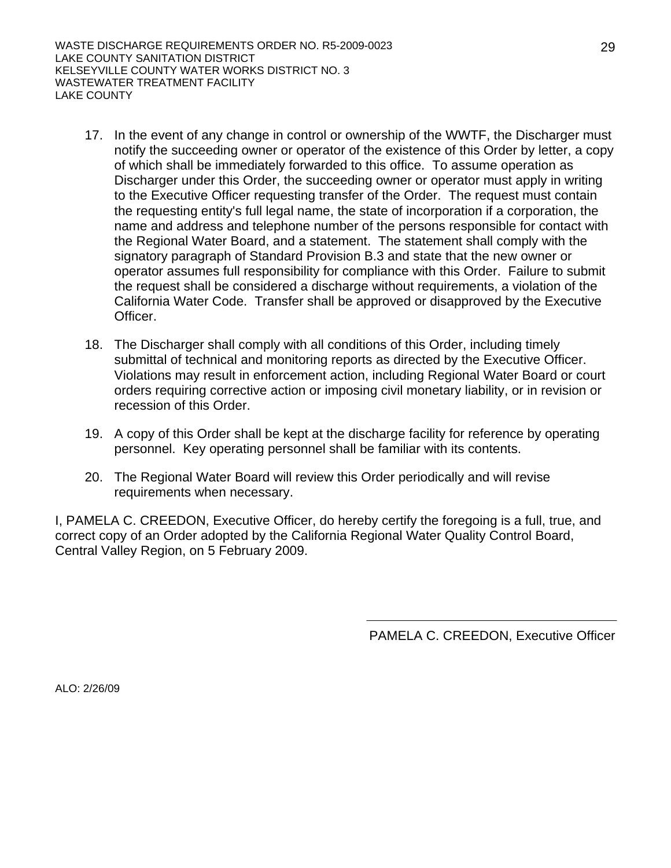WASTE DISCHARGE REQUIREMENTS ORDER NO. R5-2009-0023 LAKE COUNTY SANITATION DISTRICT KELSEYVILLE COUNTY WATER WORKS DISTRICT NO. 3 WASTEWATER TREATMENT FACILITY LAKE COUNTY

- 17. In the event of any change in control or ownership of the WWTF, the Discharger must notify the succeeding owner or operator of the existence of this Order by letter, a copy of which shall be immediately forwarded to this office. To assume operation as Discharger under this Order, the succeeding owner or operator must apply in writing to the Executive Officer requesting transfer of the Order. The request must contain the requesting entity's full legal name, the state of incorporation if a corporation, the name and address and telephone number of the persons responsible for contact with the Regional Water Board, and a statement. The statement shall comply with the signatory paragraph of Standard Provision B.3 and state that the new owner or operator assumes full responsibility for compliance with this Order. Failure to submit the request shall be considered a discharge without requirements, a violation of the California Water Code. Transfer shall be approved or disapproved by the Executive Officer.
- 18. The Discharger shall comply with all conditions of this Order, including timely submittal of technical and monitoring reports as directed by the Executive Officer. Violations may result in enforcement action, including Regional Water Board or court orders requiring corrective action or imposing civil monetary liability, or in revision or recession of this Order.
- 19. A copy of this Order shall be kept at the discharge facility for reference by operating personnel. Key operating personnel shall be familiar with its contents.
- 20. The Regional Water Board will review this Order periodically and will revise requirements when necessary.

I, PAMELA C. CREEDON, Executive Officer, do hereby certify the foregoing is a full, true, and correct copy of an Order adopted by the California Regional Water Quality Control Board, Central Valley Region, on 5 February 2009.

PAMELA C. CREEDON, Executive Officer

29

ALO: 2/26/09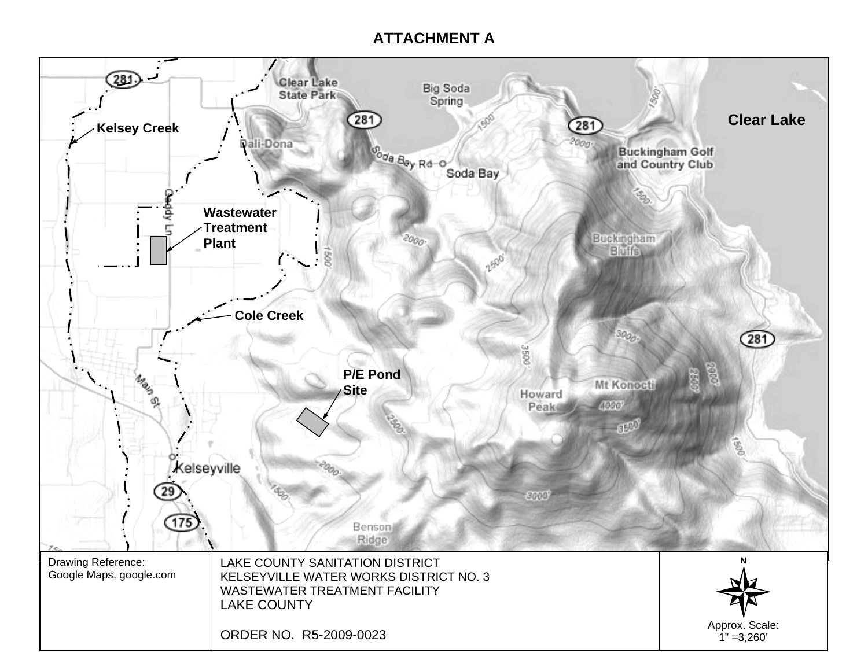# **ATTACHMENT A**

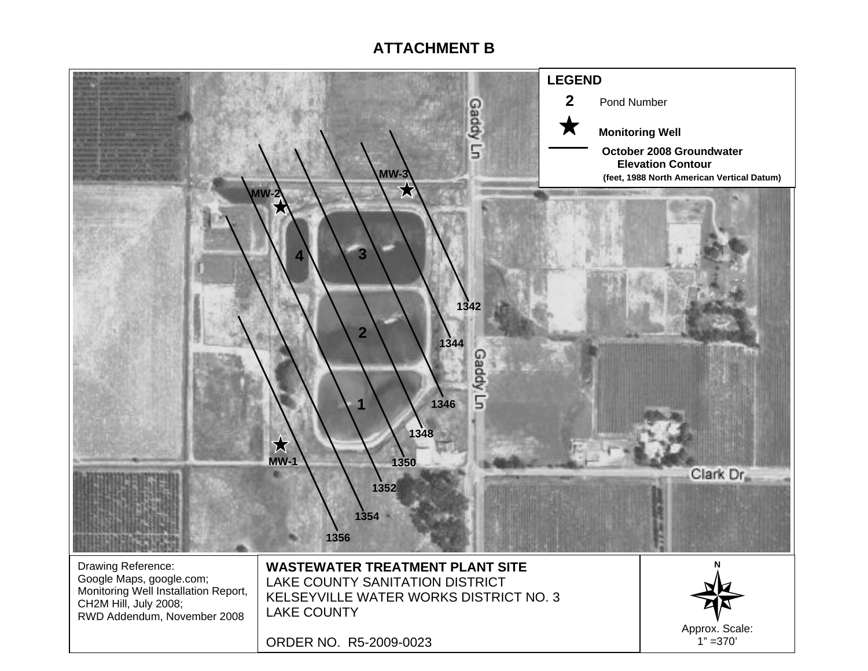# **ATTACHMENT B**

![](_page_30_Figure_1.jpeg)

ORDER NO. R5-2009-0023

Approx. Scale:  $1" = 370'$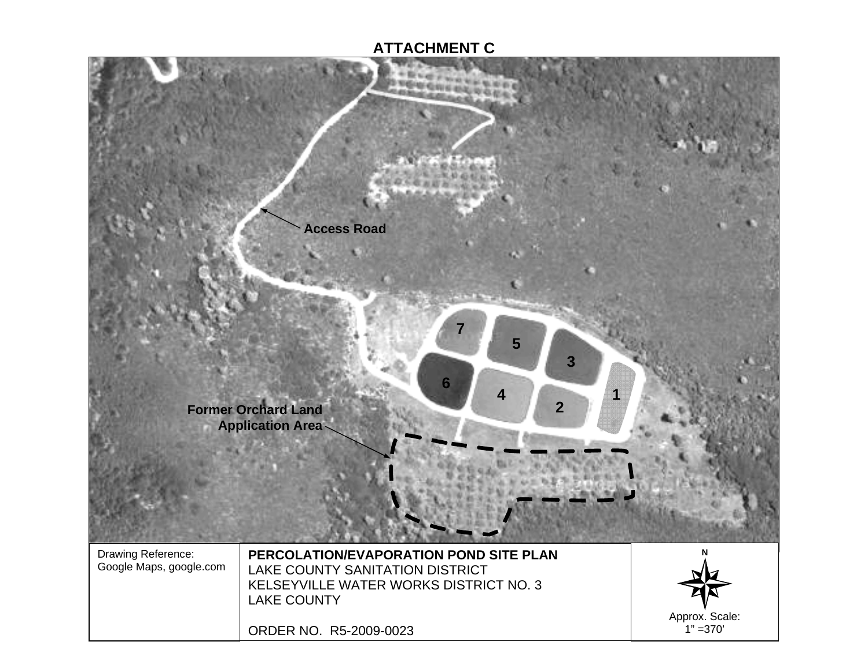# **ATTACHMENT C**

![](_page_31_Picture_1.jpeg)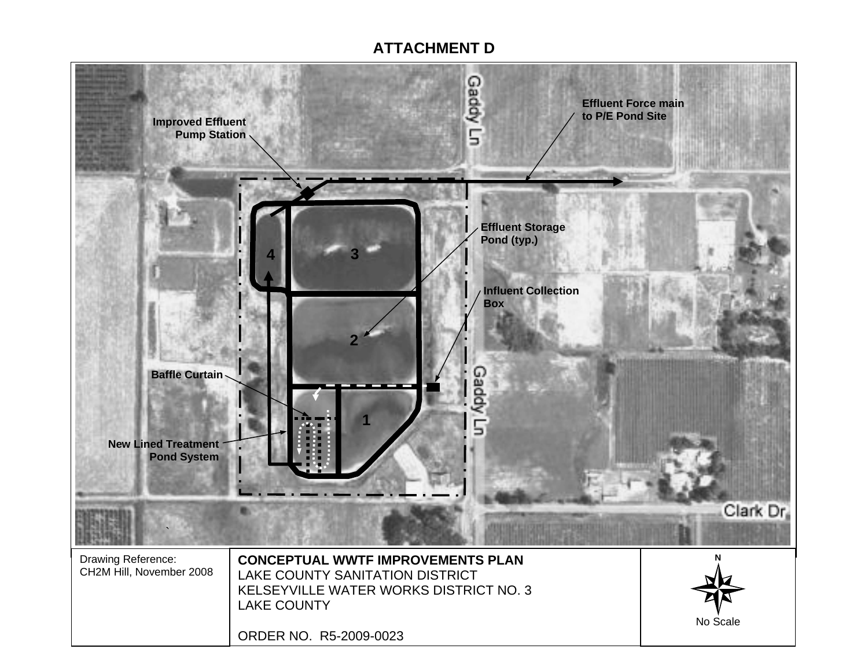# **ATTACHMENT D**

![](_page_32_Picture_1.jpeg)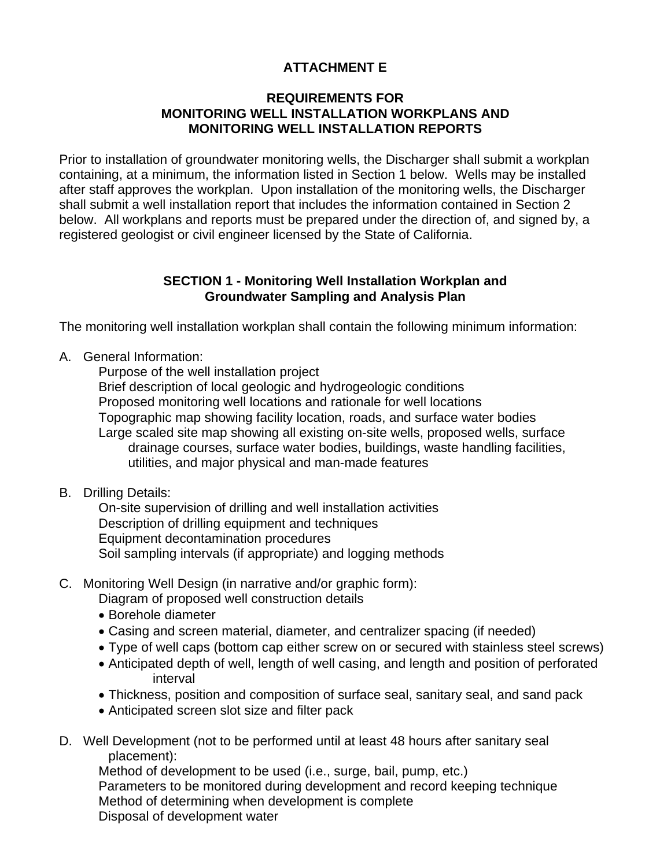## **ATTACHMENT E**

## **REQUIREMENTS FOR MONITORING WELL INSTALLATION WORKPLANS AND MONITORING WELL INSTALLATION REPORTS**

Prior to installation of groundwater monitoring wells, the Discharger shall submit a workplan containing, at a minimum, the information listed in Section 1 below. Wells may be installed after staff approves the workplan. Upon installation of the monitoring wells, the Discharger shall submit a well installation report that includes the information contained in Section 2 below. All workplans and reports must be prepared under the direction of, and signed by, a registered geologist or civil engineer licensed by the State of California.

### **SECTION 1 - Monitoring Well Installation Workplan and Groundwater Sampling and Analysis Plan**

The monitoring well installation workplan shall contain the following minimum information:

A. General Information:

 Purpose of the well installation project Brief description of local geologic and hydrogeologic conditions Proposed monitoring well locations and rationale for well locations Topographic map showing facility location, roads, and surface water bodies Large scaled site map showing all existing on-site wells, proposed wells, surface drainage courses, surface water bodies, buildings, waste handling facilities, utilities, and major physical and man-made features

## B. Drilling Details:

 On-site supervision of drilling and well installation activities Description of drilling equipment and techniques Equipment decontamination procedures Soil sampling intervals (if appropriate) and logging methods

## C. Monitoring Well Design (in narrative and/or graphic form):

Diagram of proposed well construction details

- Borehole diameter
- Casing and screen material, diameter, and centralizer spacing (if needed)
- Type of well caps (bottom cap either screw on or secured with stainless steel screws)
- Anticipated depth of well, length of well casing, and length and position of perforated interval
- Thickness, position and composition of surface seal, sanitary seal, and sand pack
- Anticipated screen slot size and filter pack
- D. Well Development (not to be performed until at least 48 hours after sanitary seal placement):

 Method of development to be used (i.e., surge, bail, pump, etc.) Parameters to be monitored during development and record keeping technique Method of determining when development is complete Disposal of development water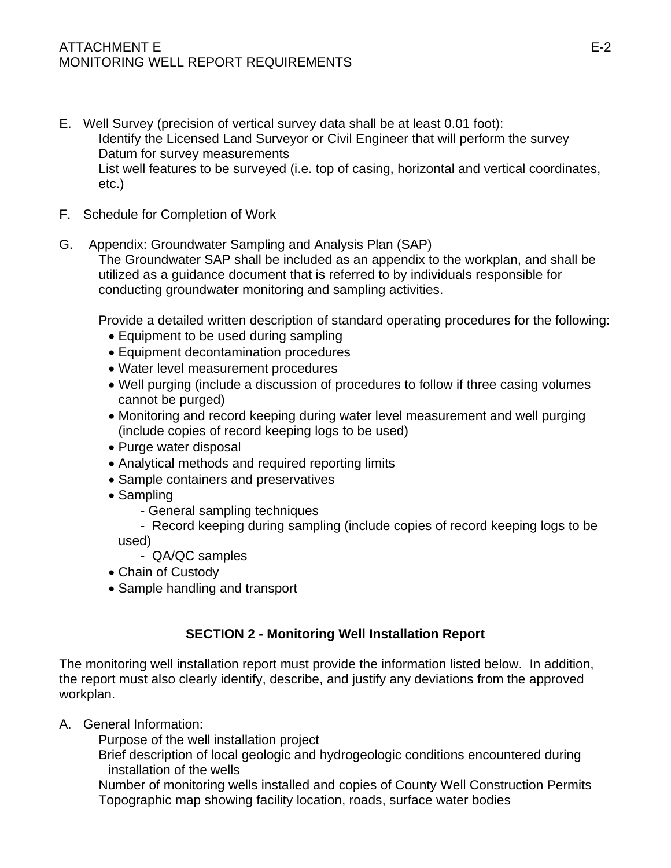## ATTACHMENT E E-2 MONITORING WELL REPORT REQUIREMENTS

- E. Well Survey (precision of vertical survey data shall be at least 0.01 foot): Identify the Licensed Land Surveyor or Civil Engineer that will perform the survey Datum for survey measurements List well features to be surveyed (i.e. top of casing, horizontal and vertical coordinates, etc.)
- F. Schedule for Completion of Work
- G. Appendix: Groundwater Sampling and Analysis Plan (SAP) The Groundwater SAP shall be included as an appendix to the workplan, and shall be utilized as a guidance document that is referred to by individuals responsible for conducting groundwater monitoring and sampling activities.

Provide a detailed written description of standard operating procedures for the following:

- Equipment to be used during sampling
- Equipment decontamination procedures
- Water level measurement procedures
- Well purging (include a discussion of procedures to follow if three casing volumes cannot be purged)
- Monitoring and record keeping during water level measurement and well purging (include copies of record keeping logs to be used)
- Purge water disposal
- Analytical methods and required reporting limits
- Sample containers and preservatives
- Sampling
	- General sampling techniques
	- Record keeping during sampling (include copies of record keeping logs to be

used)

- QA/QC samples
- Chain of Custody
- Sample handling and transport

## **SECTION 2 - Monitoring Well Installation Report**

The monitoring well installation report must provide the information listed below. In addition, the report must also clearly identify, describe, and justify any deviations from the approved workplan.

A. General Information:

Purpose of the well installation project

 Brief description of local geologic and hydrogeologic conditions encountered during installation of the wells

 Number of monitoring wells installed and copies of County Well Construction Permits Topographic map showing facility location, roads, surface water bodies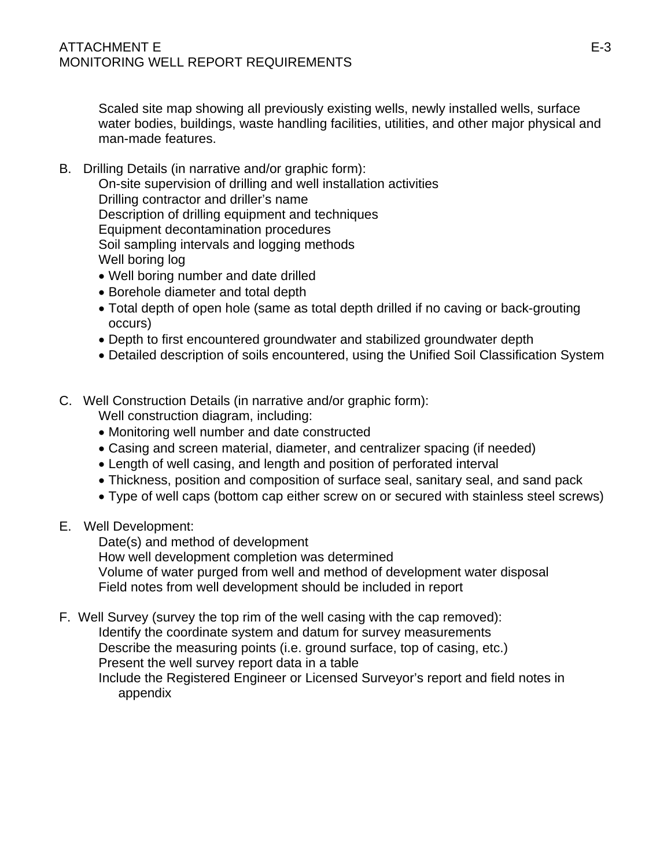Scaled site map showing all previously existing wells, newly installed wells, surface water bodies, buildings, waste handling facilities, utilities, and other major physical and man-made features.

B. Drilling Details (in narrative and/or graphic form):

 On-site supervision of drilling and well installation activities Drilling contractor and driller's name Description of drilling equipment and techniques Equipment decontamination procedures Soil sampling intervals and logging methods Well boring log

- Well boring number and date drilled
- Borehole diameter and total depth
- Total depth of open hole (same as total depth drilled if no caving or back-grouting occurs)
- Depth to first encountered groundwater and stabilized groundwater depth
- Detailed description of soils encountered, using the Unified Soil Classification System
- C. Well Construction Details (in narrative and/or graphic form):
	- Well construction diagram, including:
	- Monitoring well number and date constructed
	- Casing and screen material, diameter, and centralizer spacing (if needed)
	- Length of well casing, and length and position of perforated interval
	- Thickness, position and composition of surface seal, sanitary seal, and sand pack
	- Type of well caps (bottom cap either screw on or secured with stainless steel screws)
- E. Well Development:

Date(s) and method of development

How well development completion was determined

 Volume of water purged from well and method of development water disposal Field notes from well development should be included in report

F. Well Survey (survey the top rim of the well casing with the cap removed): Identify the coordinate system and datum for survey measurements Describe the measuring points (i.e. ground surface, top of casing, etc.) Present the well survey report data in a table

 Include the Registered Engineer or Licensed Surveyor's report and field notes in appendix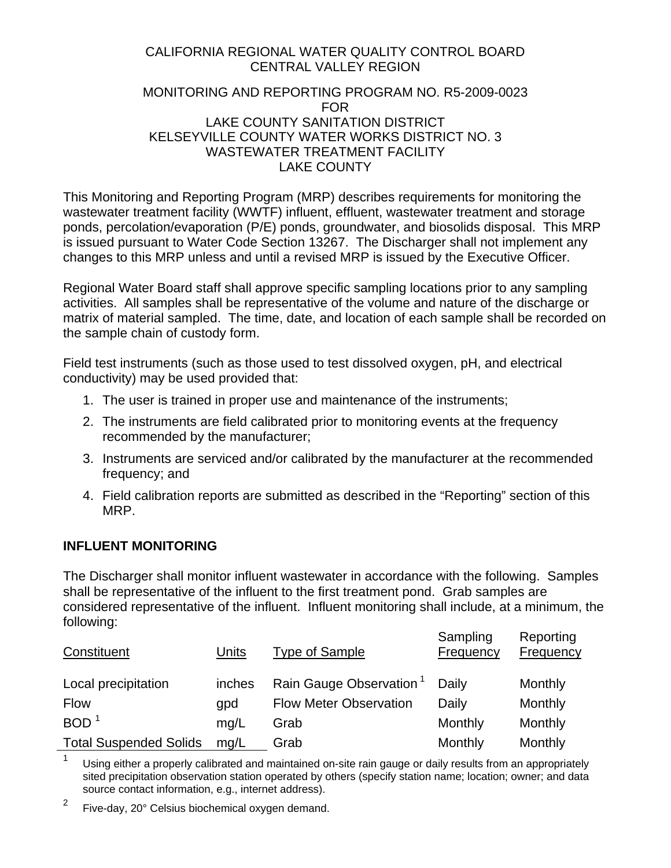## CALIFORNIA REGIONAL WATER QUALITY CONTROL BOARD CENTRAL VALLEY REGION

#### MONITORING AND REPORTING PROGRAM NO. R5-2009-0023 FOR LAKE COUNTY SANITATION DISTRICT KELSEYVILLE COUNTY WATER WORKS DISTRICT NO. 3 WASTEWATER TREATMENT FACILITY LAKE COUNTY

This Monitoring and Reporting Program (MRP) describes requirements for monitoring the wastewater treatment facility (WWTF) influent, effluent, wastewater treatment and storage ponds, percolation/evaporation (P/E) ponds, groundwater, and biosolids disposal. This MRP is issued pursuant to Water Code Section 13267. The Discharger shall not implement any changes to this MRP unless and until a revised MRP is issued by the Executive Officer.

Regional Water Board staff shall approve specific sampling locations prior to any sampling activities. All samples shall be representative of the volume and nature of the discharge or matrix of material sampled. The time, date, and location of each sample shall be recorded on the sample chain of custody form.

Field test instruments (such as those used to test dissolved oxygen, pH, and electrical conductivity) may be used provided that:

- 1. The user is trained in proper use and maintenance of the instruments;
- 2. The instruments are field calibrated prior to monitoring events at the frequency recommended by the manufacturer;
- 3. Instruments are serviced and/or calibrated by the manufacturer at the recommended frequency; and
- 4. Field calibration reports are submitted as described in the "Reporting" section of this MRP.

### **INFLUENT MONITORING**

The Discharger shall monitor influent wastewater in accordance with the following. Samples shall be representative of the influent to the first treatment pond. Grab samples are considered representative of the influent. Influent monitoring shall include, at a minimum, the following:

| Constituent                   | Units  | <b>Type of Sample</b>               | Sampling<br>Frequency | Reporting<br>Frequency |
|-------------------------------|--------|-------------------------------------|-----------------------|------------------------|
| Local precipitation           | inches | Rain Gauge Observation <sup>1</sup> | Daily                 | Monthly                |
| <b>Flow</b>                   | qpd    | <b>Flow Meter Observation</b>       | Daily                 | Monthly                |
| <b>BOD</b>                    | mq/L   | Grab                                | Monthly               | Monthly                |
| <b>Total Suspended Solids</b> | mq/L   | Grab                                | Monthly               | Monthly                |

 $1 - 1$  Using either a properly calibrated and maintained on-site rain gauge or daily results from an appropriately sited precipitation observation station operated by others (specify station name; location; owner; and data source contact information, e.g., internet address).

 $2^2$  Five-day, 20 $^{\circ}$  Celsius biochemical oxygen demand.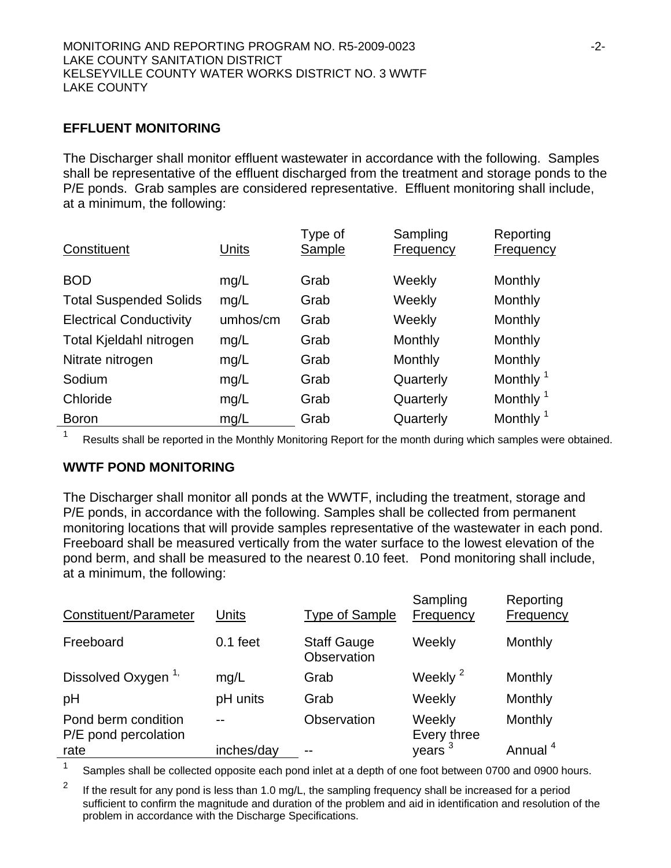## **EFFLUENT MONITORING**

The Discharger shall monitor effluent wastewater in accordance with the following. Samples shall be representative of the effluent discharged from the treatment and storage ponds to the P/E ponds. Grab samples are considered representative. Effluent monitoring shall include, at a minimum, the following:

| Constituent                    | Units    | Type of<br>Sample | Sampling<br><b>Frequency</b> | Reporting<br><b>Frequency</b> |
|--------------------------------|----------|-------------------|------------------------------|-------------------------------|
| <b>BOD</b>                     | mg/L     | Grab              | Weekly                       | Monthly                       |
| <b>Total Suspended Solids</b>  | mg/L     | Grab              | Weekly                       | Monthly                       |
| <b>Electrical Conductivity</b> | umhos/cm | Grab              | Weekly                       | Monthly                       |
| Total Kjeldahl nitrogen        | mg/L     | Grab              | Monthly                      | Monthly                       |
| Nitrate nitrogen               | mg/L     | Grab              | Monthly                      | Monthly                       |
| Sodium                         | mg/L     | Grab              | Quarterly                    | Monthly <sup>1</sup>          |
| Chloride                       | mg/L     | Grab              | Quarterly                    | Monthly <sup>1</sup>          |
| <b>Boron</b>                   | mg/L     | Grab              | Quarterly                    | Monthly <sup>1</sup>          |

1 Results shall be reported in the Monthly Monitoring Report for the month during which samples were obtained.

### **WWTF POND MONITORING**

The Discharger shall monitor all ponds at the WWTF, including the treatment, storage and P/E ponds, in accordance with the following. Samples shall be collected from permanent monitoring locations that will provide samples representative of the wastewater in each pond. Freeboard shall be measured vertically from the water surface to the lowest elevation of the pond berm, and shall be measured to the nearest 0.10 feet. Pond monitoring shall include, at a minimum, the following:

| Constituent/Parameter                       | Units      | <b>Type of Sample</b>             | Sampling<br>Frequency | Reporting<br>Frequency |
|---------------------------------------------|------------|-----------------------------------|-----------------------|------------------------|
| Freeboard                                   | $0.1$ feet | <b>Staff Gauge</b><br>Observation | Weekly                | Monthly                |
| Dissolved Oxygen <sup>1,</sup>              | mg/L       | Grab                              | Weekly <sup>2</sup>   | Monthly                |
| pH                                          | pH units   | Grab                              | Weekly                | Monthly                |
| Pond berm condition<br>P/E pond percolation | --         | Observation                       | Weekly<br>Every three | Monthly                |
| rate                                        | inches/day |                                   | years <sup>3</sup>    | Annual <sup>4</sup>    |

<sup>1</sup> Samples shall be collected opposite each pond inlet at a depth of one foot between 0700 and 0900 hours.

<sup>2</sup> If the result for any pond is less than 1.0 mg/L, the sampling frequency shall be increased for a period sufficient to confirm the magnitude and duration of the problem and aid in identification and resolution of the problem in accordance with the Discharge Specifications.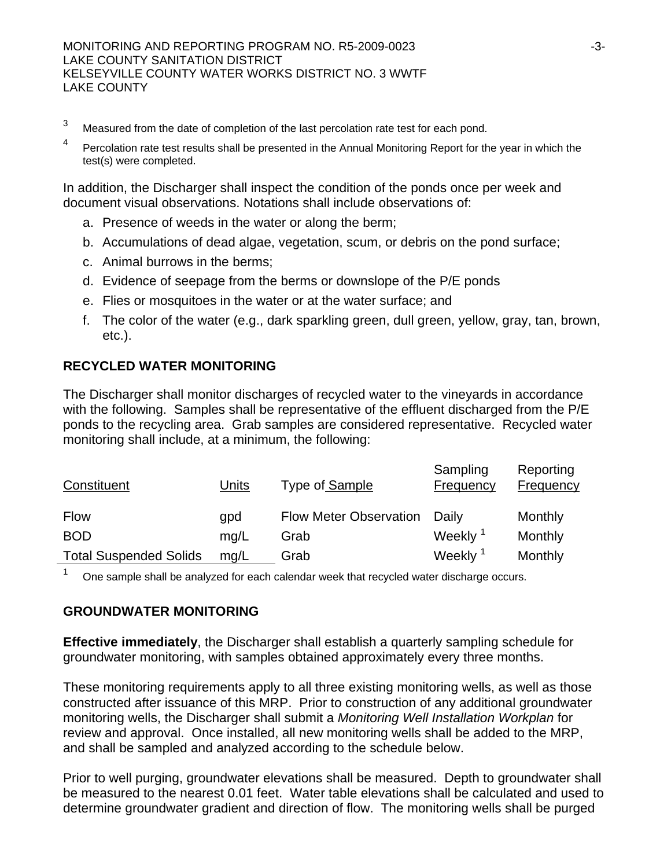- <sup>3</sup> Measured from the date of completion of the last percolation rate test for each pond.
- <sup>4</sup> Percolation rate test results shall be presented in the Annual Monitoring Report for the year in which the test(s) were completed.

In addition, the Discharger shall inspect the condition of the ponds once per week and document visual observations. Notations shall include observations of:

- a. Presence of weeds in the water or along the berm;
- b. Accumulations of dead algae, vegetation, scum, or debris on the pond surface;
- c. Animal burrows in the berms;
- d. Evidence of seepage from the berms or downslope of the P/E ponds
- e. Flies or mosquitoes in the water or at the water surface; and
- f. The color of the water (e.g., dark sparkling green, dull green, yellow, gray, tan, brown, etc.).

## **RECYCLED WATER MONITORING**

The Discharger shall monitor discharges of recycled water to the vineyards in accordance with the following. Samples shall be representative of the effluent discharged from the P/E ponds to the recycling area. Grab samples are considered representative. Recycled water monitoring shall include, at a minimum, the following:

| Constituent                   | <u>Units</u> | Type of Sample                | Sampling<br>Frequency | Reporting<br><b>Frequency</b> |
|-------------------------------|--------------|-------------------------------|-----------------------|-------------------------------|
| <b>Flow</b>                   | qpd          | <b>Flow Meter Observation</b> | Daily                 | Monthly                       |
| <b>BOD</b>                    | mg/L         | Grab                          | Weekly <sup>1</sup>   | Monthly                       |
| <b>Total Suspended Solids</b> | mq/L         | Grab                          | Weekly <sup>2</sup>   | Monthly                       |

 $1$  One sample shall be analyzed for each calendar week that recycled water discharge occurs.

### **GROUNDWATER MONITORING**

**Effective immediately**, the Discharger shall establish a quarterly sampling schedule for groundwater monitoring, with samples obtained approximately every three months.

These monitoring requirements apply to all three existing monitoring wells, as well as those constructed after issuance of this MRP. Prior to construction of any additional groundwater monitoring wells, the Discharger shall submit a *Monitoring Well Installation Workplan* for review and approval. Once installed, all new monitoring wells shall be added to the MRP, and shall be sampled and analyzed according to the schedule below.

Prior to well purging, groundwater elevations shall be measured. Depth to groundwater shall be measured to the nearest 0.01 feet. Water table elevations shall be calculated and used to determine groundwater gradient and direction of flow. The monitoring wells shall be purged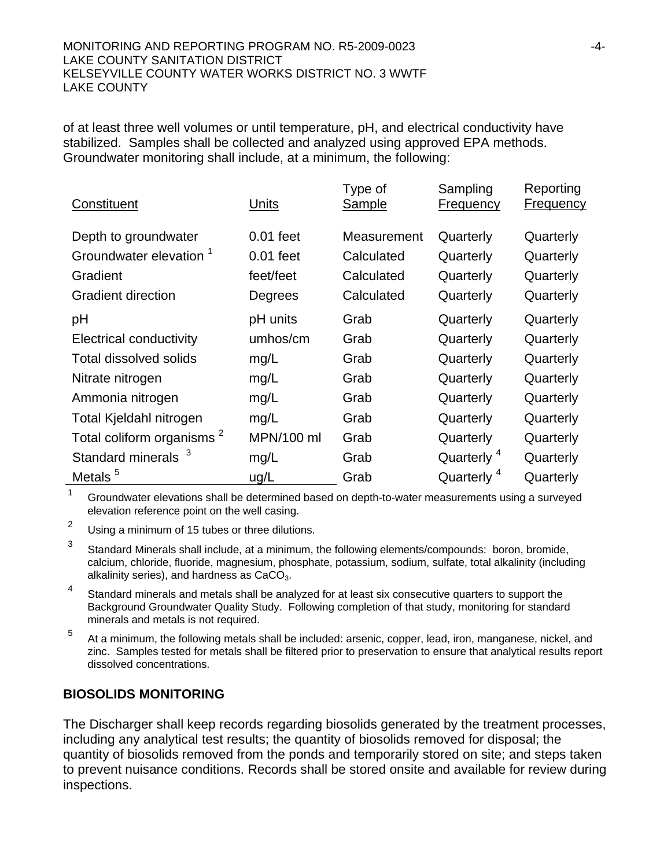#### MONITORING AND REPORTING PROGRAM NO. R5-2009-0023 -4- LAKE COUNTY SANITATION DISTRICT KELSEYVILLE COUNTY WATER WORKS DISTRICT NO. 3 WWTF LAKE COUNTY

of at least three well volumes or until temperature, pH, and electrical conductivity have stabilized. Samples shall be collected and analyzed using approved EPA methods. Groundwater monitoring shall include, at a minimum, the following:

| Constituent                           | Units       | Type of<br>Sample | Sampling<br><b>Frequency</b> | Reporting<br><b>Frequency</b> |
|---------------------------------------|-------------|-------------------|------------------------------|-------------------------------|
| Depth to groundwater                  | $0.01$ feet | Measurement       | Quarterly                    | Quarterly                     |
| Groundwater elevation <sup>1</sup>    | $0.01$ feet | Calculated        | Quarterly                    | Quarterly                     |
| Gradient                              | feet/feet   | Calculated        | Quarterly                    | Quarterly                     |
| <b>Gradient direction</b>             | Degrees     | Calculated        | Quarterly                    | Quarterly                     |
| pH                                    | pH units    | Grab              | Quarterly                    | Quarterly                     |
| <b>Electrical conductivity</b>        | umhos/cm    | Grab              | Quarterly                    | Quarterly                     |
| <b>Total dissolved solids</b>         | mg/L        | Grab              | Quarterly                    | Quarterly                     |
| Nitrate nitrogen                      | mg/L        | Grab              | Quarterly                    | Quarterly                     |
| Ammonia nitrogen                      | mg/L        | Grab              | Quarterly                    | Quarterly                     |
| Total Kjeldahl nitrogen               | mg/L        | Grab              | Quarterly                    | Quarterly                     |
| Total coliform organisms <sup>2</sup> | MPN/100 ml  | Grab              | Quarterly                    | Quarterly                     |
| <b>Standard minerals</b>              | mg/L        | Grab              | Quarterly <sup>4</sup>       | Quarterly                     |
| Metals <sup>5</sup>                   | ug/L        | Grab              | Quarterly <sup>4</sup>       | Quarterly                     |

<sup>1</sup> Groundwater elevations shall be determined based on depth-to-water measurements using a surveyed elevation reference point on the well casing.

2 Using a minimum of 15 tubes or three dilutions.

3 Standard Minerals shall include, at a minimum, the following elements/compounds: boron, bromide, calcium, chloride, fluoride, magnesium, phosphate, potassium, sodium, sulfate, total alkalinity (including alkalinity series), and hardness as  $CaCO<sub>3</sub>$ .

<sup>4</sup> Standard minerals and metals shall be analyzed for at least six consecutive quarters to support the Background Groundwater Quality Study. Following completion of that study, monitoring for standard minerals and metals is not required.

5 At a minimum, the following metals shall be included: arsenic, copper, lead, iron, manganese, nickel, and zinc. Samples tested for metals shall be filtered prior to preservation to ensure that analytical results report dissolved concentrations.

### **BIOSOLIDS MONITORING**

The Discharger shall keep records regarding biosolids generated by the treatment processes, including any analytical test results; the quantity of biosolids removed for disposal; the quantity of biosolids removed from the ponds and temporarily stored on site; and steps taken to prevent nuisance conditions. Records shall be stored onsite and available for review during inspections.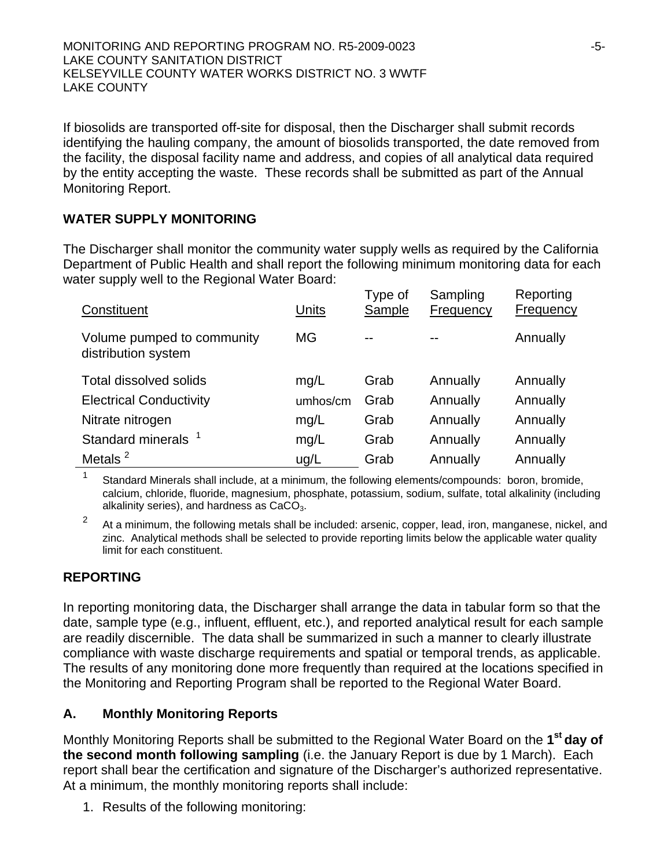If biosolids are transported off-site for disposal, then the Discharger shall submit records identifying the hauling company, the amount of biosolids transported, the date removed from the facility, the disposal facility name and address, and copies of all analytical data required by the entity accepting the waste. These records shall be submitted as part of the Annual Monitoring Report.

## **WATER SUPPLY MONITORING**

The Discharger shall monitor the community water supply wells as required by the California Department of Public Health and shall report the following minimum monitoring data for each water supply well to the Regional Water Board:

| Constituent                                       | <b>Units</b> | Type of<br>Sample | Sampling<br>Frequency | Reporting<br>Frequency |
|---------------------------------------------------|--------------|-------------------|-----------------------|------------------------|
| Volume pumped to community<br>distribution system | <b>MG</b>    |                   |                       | Annually               |
| <b>Total dissolved solids</b>                     | mq/L         | Grab              | Annually              | Annually               |
| <b>Electrical Conductivity</b>                    | umhos/cm     | Grab              | Annually              | Annually               |
| Nitrate nitrogen                                  | mg/L         | Grab              | Annually              | Annually               |
| Standard minerals <sup>1</sup>                    | mg/L         | Grab              | Annually              | Annually               |
| Metals <sup>2</sup>                               | uq/L         | Grab              | Annually              | Annually               |

1 Standard Minerals shall include, at a minimum, the following elements/compounds: boron, bromide, calcium, chloride, fluoride, magnesium, phosphate, potassium, sodium, sulfate, total alkalinity (including alkalinity series), and hardness as  $CaCO<sub>3</sub>$ .

 $2<sup>2</sup>$  At a minimum, the following metals shall be included: arsenic, copper, lead, iron, manganese, nickel, and zinc. Analytical methods shall be selected to provide reporting limits below the applicable water quality limit for each constituent.

## **REPORTING**

In reporting monitoring data, the Discharger shall arrange the data in tabular form so that the date, sample type (e.g., influent, effluent, etc.), and reported analytical result for each sample are readily discernible. The data shall be summarized in such a manner to clearly illustrate compliance with waste discharge requirements and spatial or temporal trends, as applicable. The results of any monitoring done more frequently than required at the locations specified in the Monitoring and Reporting Program shall be reported to the Regional Water Board.

## **A. Monthly Monitoring Reports**

Monthly Monitoring Reports shall be submitted to the Regional Water Board on the **1st day of the second month following sampling** (i.e. the January Report is due by 1 March). Each report shall bear the certification and signature of the Discharger's authorized representative. At a minimum, the monthly monitoring reports shall include:

1. Results of the following monitoring: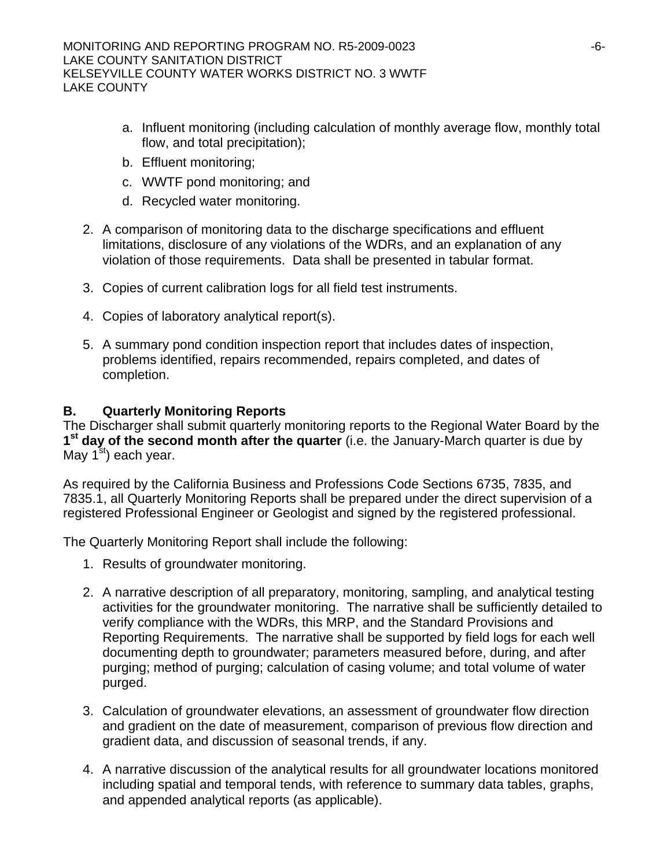- a. Influent monitoring (including calculation of monthly average flow, monthly total flow, and total precipitation);
- b. Effluent monitoring;
- c. WWTF pond monitoring; and
- d. Recycled water monitoring.
- 2. A comparison of monitoring data to the discharge specifications and effluent limitations, disclosure of any violations of the WDRs, and an explanation of any violation of those requirements. Data shall be presented in tabular format.
- 3. Copies of current calibration logs for all field test instruments.
- 4. Copies of laboratory analytical report(s).
- 5. A summary pond condition inspection report that includes dates of inspection, problems identified, repairs recommended, repairs completed, and dates of completion.

## **B. Quarterly Monitoring Reports**

The Discharger shall submit quarterly monitoring reports to the Regional Water Board by the 1<sup>st</sup> day of the second month after the quarter (i.e. the January-March quarter is due by May  $1<sup>st</sup>$ ) each year.

As required by the California Business and Professions Code Sections 6735, 7835, and 7835.1, all Quarterly Monitoring Reports shall be prepared under the direct supervision of a registered Professional Engineer or Geologist and signed by the registered professional.

The Quarterly Monitoring Report shall include the following:

- 1. Results of groundwater monitoring.
- 2. A narrative description of all preparatory, monitoring, sampling, and analytical testing activities for the groundwater monitoring. The narrative shall be sufficiently detailed to verify compliance with the WDRs, this MRP, and the Standard Provisions and Reporting Requirements. The narrative shall be supported by field logs for each well documenting depth to groundwater; parameters measured before, during, and after purging; method of purging; calculation of casing volume; and total volume of water purged.
- 3. Calculation of groundwater elevations, an assessment of groundwater flow direction and gradient on the date of measurement, comparison of previous flow direction and gradient data, and discussion of seasonal trends, if any.
- 4. A narrative discussion of the analytical results for all groundwater locations monitored including spatial and temporal tends, with reference to summary data tables, graphs, and appended analytical reports (as applicable).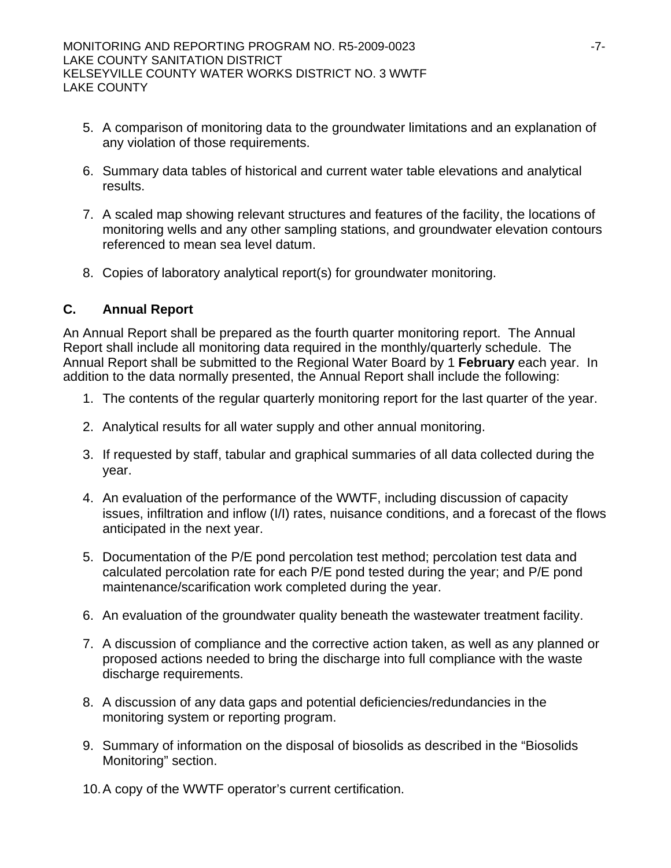- 5. A comparison of monitoring data to the groundwater limitations and an explanation of any violation of those requirements.
- 6. Summary data tables of historical and current water table elevations and analytical results.
- 7. A scaled map showing relevant structures and features of the facility, the locations of monitoring wells and any other sampling stations, and groundwater elevation contours referenced to mean sea level datum.
- 8. Copies of laboratory analytical report(s) for groundwater monitoring.

### **C. Annual Report**

An Annual Report shall be prepared as the fourth quarter monitoring report. The Annual Report shall include all monitoring data required in the monthly/quarterly schedule. The Annual Report shall be submitted to the Regional Water Board by 1 **February** each year. In addition to the data normally presented, the Annual Report shall include the following:

- 1. The contents of the regular quarterly monitoring report for the last quarter of the year.
- 2. Analytical results for all water supply and other annual monitoring.
- 3. If requested by staff, tabular and graphical summaries of all data collected during the year.
- 4. An evaluation of the performance of the WWTF, including discussion of capacity issues, infiltration and inflow (I/I) rates, nuisance conditions, and a forecast of the flows anticipated in the next year.
- 5. Documentation of the P/E pond percolation test method; percolation test data and calculated percolation rate for each P/E pond tested during the year; and P/E pond maintenance/scarification work completed during the year.
- 6. An evaluation of the groundwater quality beneath the wastewater treatment facility.
- 7. A discussion of compliance and the corrective action taken, as well as any planned or proposed actions needed to bring the discharge into full compliance with the waste discharge requirements.
- 8. A discussion of any data gaps and potential deficiencies/redundancies in the monitoring system or reporting program.
- 9. Summary of information on the disposal of biosolids as described in the "Biosolids Monitoring" section.
- 10. A copy of the WWTF operator's current certification.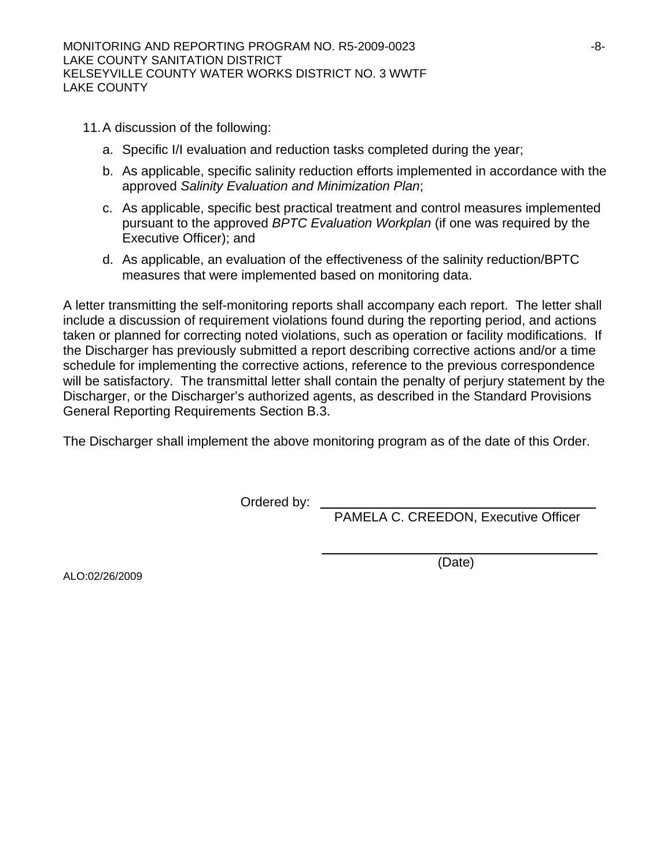- 11. A discussion of the following:
	- a. Specific I/I evaluation and reduction tasks completed during the year;
	- b. As applicable, specific salinity reduction efforts implemented in accordance with the approved *Salinity Evaluation and Minimization Plan*;
	- c. As applicable, specific best practical treatment and control measures implemented pursuant to the approved *BPTC Evaluation Workplan* (if one was required by the Executive Officer); and
	- d. As applicable, an evaluation of the effectiveness of the salinity reduction/BPTC measures that were implemented based on monitoring data.

A letter transmitting the self-monitoring reports shall accompany each report. The letter shall include a discussion of requirement violations found during the reporting period, and actions taken or planned for correcting noted violations, such as operation or facility modifications. If the Discharger has previously submitted a report describing corrective actions and/or a time schedule for implementing the corrective actions, reference to the previous correspondence will be satisfactory. The transmittal letter shall contain the penalty of perjury statement by the Discharger, or the Discharger's authorized agents, as described in the Standard Provisions General Reporting Requirements Section B.3.

The Discharger shall implement the above monitoring program as of the date of this Order.

Ordered by:

PAMELA C. CREEDON, Executive Officer

(Date)

ALO:02/26/2009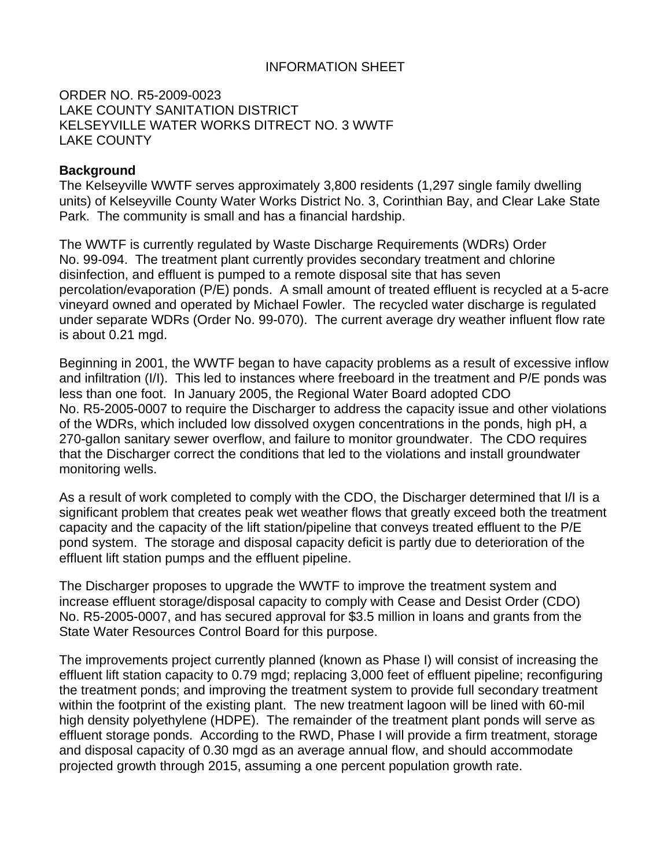#### INFORMATION SHEET

#### ORDER NO. R5-2009-0023 LAKE COUNTY SANITATION DISTRICT KELSEYVILLE WATER WORKS DITRECT NO. 3 WWTF LAKE COUNTY

#### **Background**

The Kelseyville WWTF serves approximately 3,800 residents (1,297 single family dwelling units) of Kelseyville County Water Works District No. 3, Corinthian Bay, and Clear Lake State Park. The community is small and has a financial hardship.

The WWTF is currently regulated by Waste Discharge Requirements (WDRs) Order No. 99-094. The treatment plant currently provides secondary treatment and chlorine disinfection, and effluent is pumped to a remote disposal site that has seven percolation/evaporation (P/E) ponds. A small amount of treated effluent is recycled at a 5-acre vineyard owned and operated by Michael Fowler. The recycled water discharge is regulated under separate WDRs (Order No. 99-070). The current average dry weather influent flow rate is about 0.21 mgd.

Beginning in 2001, the WWTF began to have capacity problems as a result of excessive inflow and infiltration (I/I). This led to instances where freeboard in the treatment and P/E ponds was less than one foot. In January 2005, the Regional Water Board adopted CDO No. R5-2005-0007 to require the Discharger to address the capacity issue and other violations of the WDRs, which included low dissolved oxygen concentrations in the ponds, high pH, a 270-gallon sanitary sewer overflow, and failure to monitor groundwater. The CDO requires that the Discharger correct the conditions that led to the violations and install groundwater monitoring wells.

As a result of work completed to comply with the CDO, the Discharger determined that I/I is a significant problem that creates peak wet weather flows that greatly exceed both the treatment capacity and the capacity of the lift station/pipeline that conveys treated effluent to the P/E pond system. The storage and disposal capacity deficit is partly due to deterioration of the effluent lift station pumps and the effluent pipeline.

The Discharger proposes to upgrade the WWTF to improve the treatment system and increase effluent storage/disposal capacity to comply with Cease and Desist Order (CDO) No. R5-2005-0007, and has secured approval for \$3.5 million in loans and grants from the State Water Resources Control Board for this purpose.

The improvements project currently planned (known as Phase I) will consist of increasing the effluent lift station capacity to 0.79 mgd; replacing 3,000 feet of effluent pipeline; reconfiguring the treatment ponds; and improving the treatment system to provide full secondary treatment within the footprint of the existing plant. The new treatment lagoon will be lined with 60-mil high density polyethylene (HDPE). The remainder of the treatment plant ponds will serve as effluent storage ponds. According to the RWD, Phase I will provide a firm treatment, storage and disposal capacity of 0.30 mgd as an average annual flow, and should accommodate projected growth through 2015, assuming a one percent population growth rate.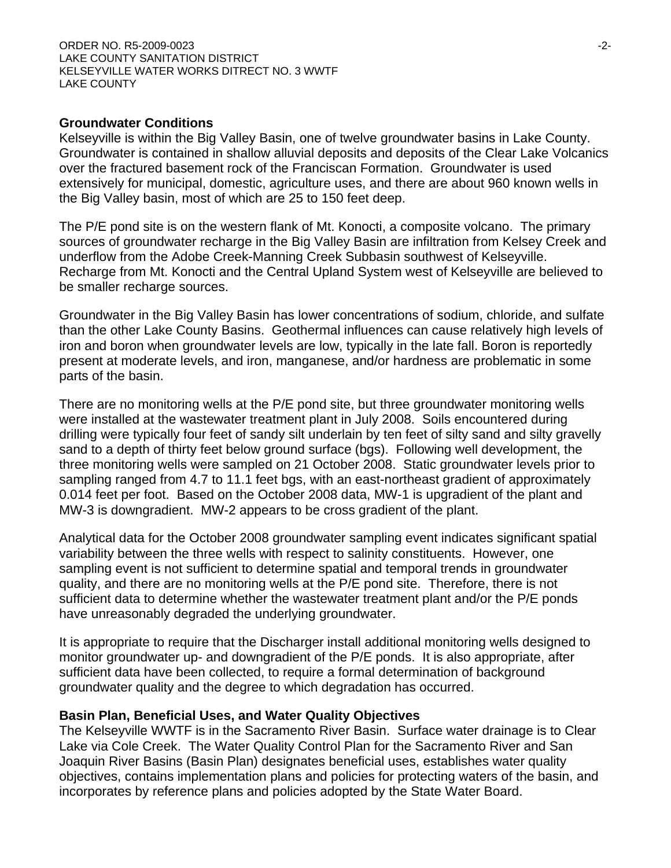#### ORDER NO. R5-2009-0023 -2- LAKE COUNTY SANITATION DISTRICT KELSEYVILLE WATER WORKS DITRECT NO. 3 WWTF LAKE COUNTY

#### **Groundwater Conditions**

Kelseyville is within the Big Valley Basin, one of twelve groundwater basins in Lake County. Groundwater is contained in shallow alluvial deposits and deposits of the Clear Lake Volcanics over the fractured basement rock of the Franciscan Formation. Groundwater is used extensively for municipal, domestic, agriculture uses, and there are about 960 known wells in the Big Valley basin, most of which are 25 to 150 feet deep.

The P/E pond site is on the western flank of Mt. Konocti, a composite volcano. The primary sources of groundwater recharge in the Big Valley Basin are infiltration from Kelsey Creek and underflow from the Adobe Creek-Manning Creek Subbasin southwest of Kelseyville. Recharge from Mt. Konocti and the Central Upland System west of Kelseyville are believed to be smaller recharge sources.

Groundwater in the Big Valley Basin has lower concentrations of sodium, chloride, and sulfate than the other Lake County Basins. Geothermal influences can cause relatively high levels of iron and boron when groundwater levels are low, typically in the late fall. Boron is reportedly present at moderate levels, and iron, manganese, and/or hardness are problematic in some parts of the basin.

There are no monitoring wells at the P/E pond site, but three groundwater monitoring wells were installed at the wastewater treatment plant in July 2008. Soils encountered during drilling were typically four feet of sandy silt underlain by ten feet of silty sand and silty gravelly sand to a depth of thirty feet below ground surface (bgs). Following well development, the three monitoring wells were sampled on 21 October 2008. Static groundwater levels prior to sampling ranged from 4.7 to 11.1 feet bgs, with an east-northeast gradient of approximately 0.014 feet per foot. Based on the October 2008 data, MW-1 is upgradient of the plant and MW-3 is downgradient. MW-2 appears to be cross gradient of the plant.

Analytical data for the October 2008 groundwater sampling event indicates significant spatial variability between the three wells with respect to salinity constituents. However, one sampling event is not sufficient to determine spatial and temporal trends in groundwater quality, and there are no monitoring wells at the P/E pond site. Therefore, there is not sufficient data to determine whether the wastewater treatment plant and/or the P/E ponds have unreasonably degraded the underlying groundwater.

It is appropriate to require that the Discharger install additional monitoring wells designed to monitor groundwater up- and downgradient of the P/E ponds. It is also appropriate, after sufficient data have been collected, to require a formal determination of background groundwater quality and the degree to which degradation has occurred.

#### **Basin Plan, Beneficial Uses, and Water Quality Objectives**

The Kelseyville WWTF is in the Sacramento River Basin. Surface water drainage is to Clear Lake via Cole Creek. The Water Quality Control Plan for the Sacramento River and San Joaquin River Basins (Basin Plan) designates beneficial uses, establishes water quality objectives, contains implementation plans and policies for protecting waters of the basin, and incorporates by reference plans and policies adopted by the State Water Board.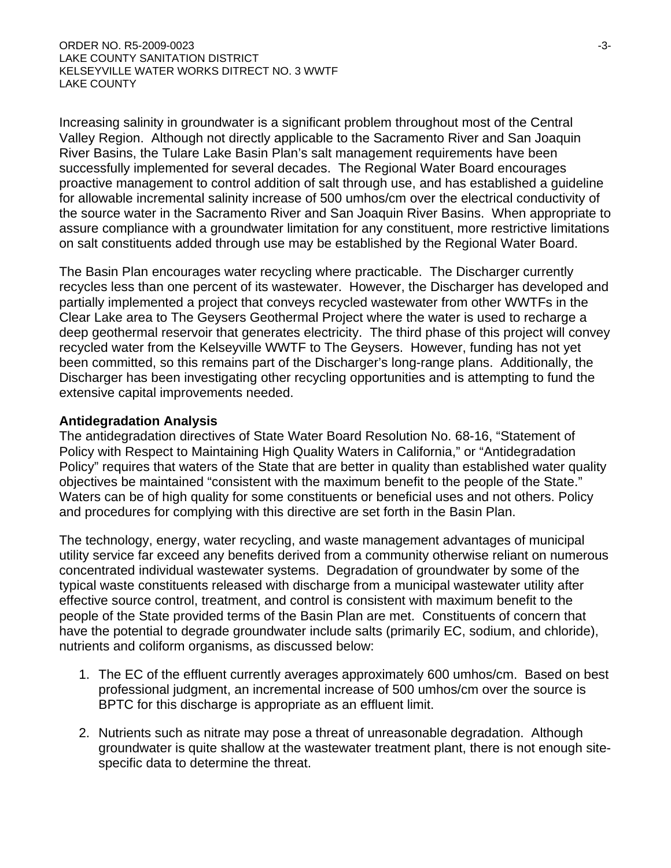Increasing salinity in groundwater is a significant problem throughout most of the Central Valley Region. Although not directly applicable to the Sacramento River and San Joaquin River Basins, the Tulare Lake Basin Plan's salt management requirements have been successfully implemented for several decades. The Regional Water Board encourages proactive management to control addition of salt through use, and has established a guideline for allowable incremental salinity increase of 500 umhos/cm over the electrical conductivity of the source water in the Sacramento River and San Joaquin River Basins. When appropriate to assure compliance with a groundwater limitation for any constituent, more restrictive limitations on salt constituents added through use may be established by the Regional Water Board.

The Basin Plan encourages water recycling where practicable. The Discharger currently recycles less than one percent of its wastewater. However, the Discharger has developed and partially implemented a project that conveys recycled wastewater from other WWTFs in the Clear Lake area to The Geysers Geothermal Project where the water is used to recharge a deep geothermal reservoir that generates electricity. The third phase of this project will convey recycled water from the Kelseyville WWTF to The Geysers. However, funding has not yet been committed, so this remains part of the Discharger's long-range plans. Additionally, the Discharger has been investigating other recycling opportunities and is attempting to fund the extensive capital improvements needed.

### **Antidegradation Analysis**

The antidegradation directives of State Water Board Resolution No. 68-16, "Statement of Policy with Respect to Maintaining High Quality Waters in California," or "Antidegradation Policy" requires that waters of the State that are better in quality than established water quality objectives be maintained "consistent with the maximum benefit to the people of the State." Waters can be of high quality for some constituents or beneficial uses and not others. Policy and procedures for complying with this directive are set forth in the Basin Plan.

The technology, energy, water recycling, and waste management advantages of municipal utility service far exceed any benefits derived from a community otherwise reliant on numerous concentrated individual wastewater systems. Degradation of groundwater by some of the typical waste constituents released with discharge from a municipal wastewater utility after effective source control, treatment, and control is consistent with maximum benefit to the people of the State provided terms of the Basin Plan are met. Constituents of concern that have the potential to degrade groundwater include salts (primarily EC, sodium, and chloride), nutrients and coliform organisms, as discussed below:

- 1. The EC of the effluent currently averages approximately 600 umhos/cm. Based on best professional judgment, an incremental increase of 500 umhos/cm over the source is BPTC for this discharge is appropriate as an effluent limit.
- 2. Nutrients such as nitrate may pose a threat of unreasonable degradation. Although groundwater is quite shallow at the wastewater treatment plant, there is not enough sitespecific data to determine the threat.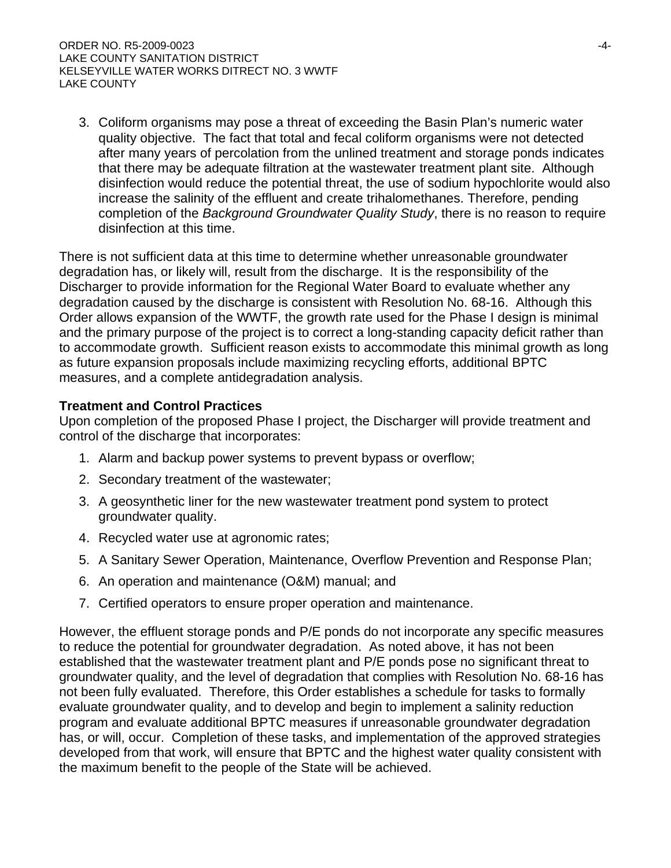3. Coliform organisms may pose a threat of exceeding the Basin Plan's numeric water quality objective. The fact that total and fecal coliform organisms were not detected after many years of percolation from the unlined treatment and storage ponds indicates that there may be adequate filtration at the wastewater treatment plant site. Although disinfection would reduce the potential threat, the use of sodium hypochlorite would also increase the salinity of the effluent and create trihalomethanes. Therefore, pending completion of the *Background Groundwater Quality Study*, there is no reason to require disinfection at this time.

There is not sufficient data at this time to determine whether unreasonable groundwater degradation has, or likely will, result from the discharge. It is the responsibility of the Discharger to provide information for the Regional Water Board to evaluate whether any degradation caused by the discharge is consistent with Resolution No. 68-16. Although this Order allows expansion of the WWTF, the growth rate used for the Phase I design is minimal and the primary purpose of the project is to correct a long-standing capacity deficit rather than to accommodate growth. Sufficient reason exists to accommodate this minimal growth as long as future expansion proposals include maximizing recycling efforts, additional BPTC measures, and a complete antidegradation analysis.

## **Treatment and Control Practices**

Upon completion of the proposed Phase I project, the Discharger will provide treatment and control of the discharge that incorporates:

- 1. Alarm and backup power systems to prevent bypass or overflow;
- 2. Secondary treatment of the wastewater;
- 3. A geosynthetic liner for the new wastewater treatment pond system to protect groundwater quality.
- 4. Recycled water use at agronomic rates;
- 5. A Sanitary Sewer Operation, Maintenance, Overflow Prevention and Response Plan;
- 6. An operation and maintenance (O&M) manual; and
- 7. Certified operators to ensure proper operation and maintenance.

However, the effluent storage ponds and P/E ponds do not incorporate any specific measures to reduce the potential for groundwater degradation. As noted above, it has not been established that the wastewater treatment plant and P/E ponds pose no significant threat to groundwater quality, and the level of degradation that complies with Resolution No. 68-16 has not been fully evaluated. Therefore, this Order establishes a schedule for tasks to formally evaluate groundwater quality, and to develop and begin to implement a salinity reduction program and evaluate additional BPTC measures if unreasonable groundwater degradation has, or will, occur. Completion of these tasks, and implementation of the approved strategies developed from that work, will ensure that BPTC and the highest water quality consistent with the maximum benefit to the people of the State will be achieved.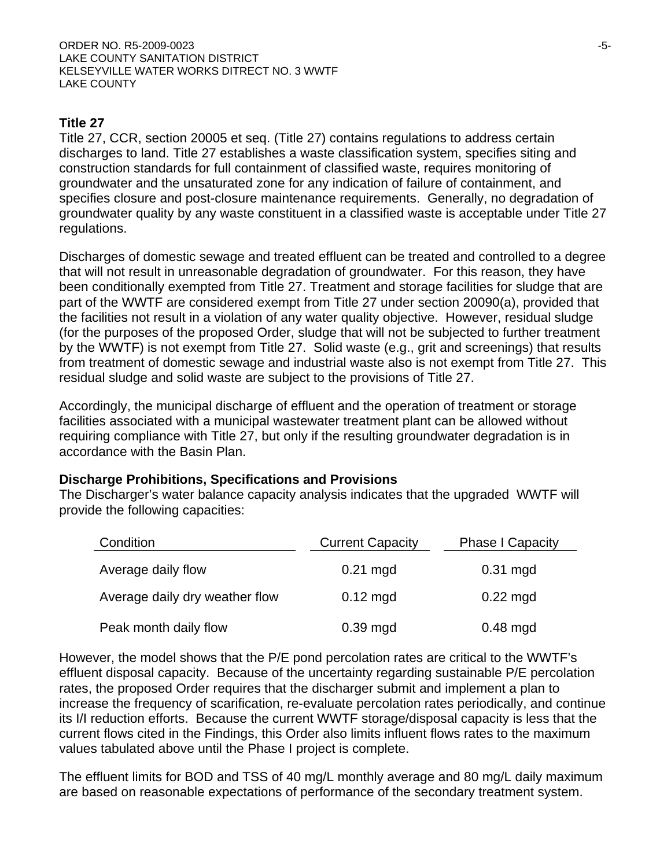## **Title 27**

Title 27, CCR, section 20005 et seq. (Title 27) contains regulations to address certain discharges to land. Title 27 establishes a waste classification system, specifies siting and construction standards for full containment of classified waste, requires monitoring of groundwater and the unsaturated zone for any indication of failure of containment, and specifies closure and post-closure maintenance requirements. Generally, no degradation of groundwater quality by any waste constituent in a classified waste is acceptable under Title 27 regulations.

Discharges of domestic sewage and treated effluent can be treated and controlled to a degree that will not result in unreasonable degradation of groundwater. For this reason, they have been conditionally exempted from Title 27. Treatment and storage facilities for sludge that are part of the WWTF are considered exempt from Title 27 under section 20090(a), provided that the facilities not result in a violation of any water quality objective. However, residual sludge (for the purposes of the proposed Order, sludge that will not be subjected to further treatment by the WWTF) is not exempt from Title 27. Solid waste (e.g., grit and screenings) that results from treatment of domestic sewage and industrial waste also is not exempt from Title 27. This residual sludge and solid waste are subject to the provisions of Title 27.

Accordingly, the municipal discharge of effluent and the operation of treatment or storage facilities associated with a municipal wastewater treatment plant can be allowed without requiring compliance with Title 27, but only if the resulting groundwater degradation is in accordance with the Basin Plan.

### **Discharge Prohibitions, Specifications and Provisions**

The Discharger's water balance capacity analysis indicates that the upgraded WWTF will provide the following capacities:

| Condition                      | <b>Current Capacity</b> | <b>Phase I Capacity</b> |
|--------------------------------|-------------------------|-------------------------|
| Average daily flow             | $0.21$ mgd              | $0.31$ mgd              |
| Average daily dry weather flow | $0.12 \text{ mgd}$      | $0.22$ mgd              |
| Peak month daily flow          | $0.39$ mgd              | $0.48$ mgd              |

However, the model shows that the P/E pond percolation rates are critical to the WWTF's effluent disposal capacity. Because of the uncertainty regarding sustainable P/E percolation rates, the proposed Order requires that the discharger submit and implement a plan to increase the frequency of scarification, re-evaluate percolation rates periodically, and continue its I/I reduction efforts. Because the current WWTF storage/disposal capacity is less that the current flows cited in the Findings, this Order also limits influent flows rates to the maximum values tabulated above until the Phase I project is complete.

The effluent limits for BOD and TSS of 40 mg/L monthly average and 80 mg/L daily maximum are based on reasonable expectations of performance of the secondary treatment system.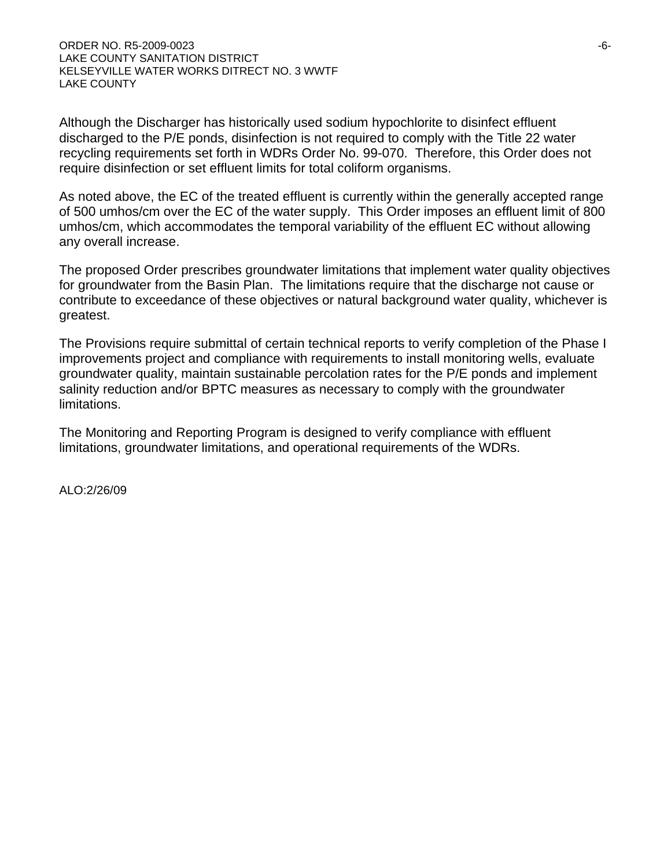Although the Discharger has historically used sodium hypochlorite to disinfect effluent discharged to the P/E ponds, disinfection is not required to comply with the Title 22 water recycling requirements set forth in WDRs Order No. 99-070. Therefore, this Order does not require disinfection or set effluent limits for total coliform organisms.

As noted above, the EC of the treated effluent is currently within the generally accepted range of 500 umhos/cm over the EC of the water supply. This Order imposes an effluent limit of 800 umhos/cm, which accommodates the temporal variability of the effluent EC without allowing any overall increase.

The proposed Order prescribes groundwater limitations that implement water quality objectives for groundwater from the Basin Plan. The limitations require that the discharge not cause or contribute to exceedance of these objectives or natural background water quality, whichever is greatest.

The Provisions require submittal of certain technical reports to verify completion of the Phase I improvements project and compliance with requirements to install monitoring wells, evaluate groundwater quality, maintain sustainable percolation rates for the P/E ponds and implement salinity reduction and/or BPTC measures as necessary to comply with the groundwater limitations.

The Monitoring and Reporting Program is designed to verify compliance with effluent limitations, groundwater limitations, and operational requirements of the WDRs.

ALO:2/26/09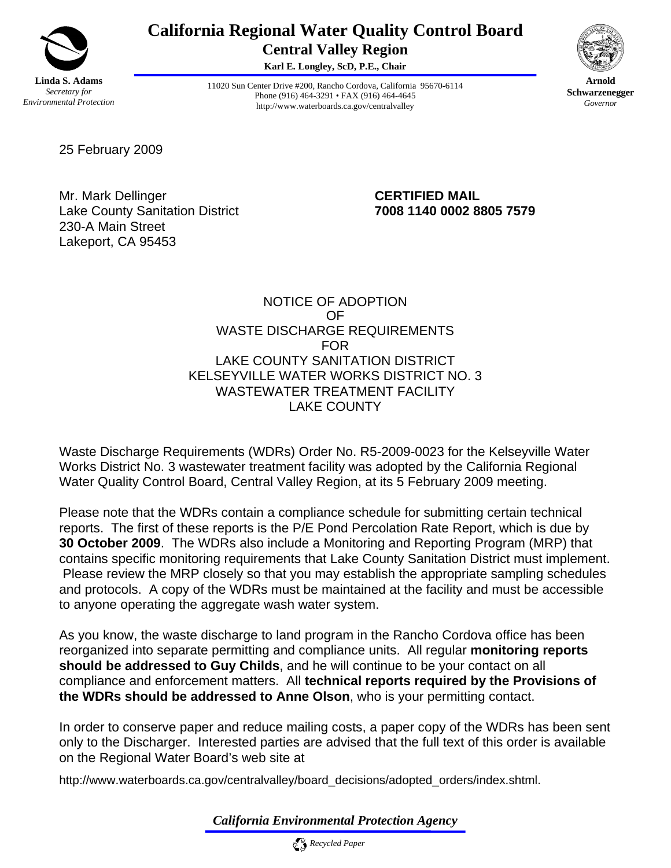![](_page_51_Picture_0.jpeg)

## **California Regional Water Quality Control Board Central Valley Region**

**Karl E. Longley, ScD, P.E., Chair** 

![](_page_51_Picture_3.jpeg)

**Arnold Schwarzenegger** *Governor* 

11020 Sun Center Drive #200, Rancho Cordova, California 95670-6114 Phone (916) 464-3291 • FAX (916) 464-4645 http://www.waterboards.ca.gov/centralvalley

25 February 2009

Mr. Mark Dellinger **CERTIFIED MAIL**  Lake County Sanitation District **7008 1140 0002 8805 7579**  230-A Main Street Lakeport, CA 95453

#### NOTICE OF ADOPTION OF WASTE DISCHARGE REQUIREMENTS FOR LAKE COUNTY SANITATION DISTRICT KELSEYVILLE WATER WORKS DISTRICT NO. 3 WASTEWATER TREATMENT FACILITY LAKE COUNTY

Waste Discharge Requirements (WDRs) Order No. R5-2009-0023 for the Kelseyville Water Works District No. 3 wastewater treatment facility was adopted by the California Regional Water Quality Control Board, Central Valley Region, at its 5 February 2009 meeting.

Please note that the WDRs contain a compliance schedule for submitting certain technical reports. The first of these reports is the P/E Pond Percolation Rate Report, which is due by **30 October 2009**. The WDRs also include a Monitoring and Reporting Program (MRP) that contains specific monitoring requirements that Lake County Sanitation District must implement. Please review the MRP closely so that you may establish the appropriate sampling schedules and protocols. A copy of the WDRs must be maintained at the facility and must be accessible to anyone operating the aggregate wash water system.

As you know, the waste discharge to land program in the Rancho Cordova office has been reorganized into separate permitting and compliance units. All regular **monitoring reports should be addressed to Guy Childs**, and he will continue to be your contact on all compliance and enforcement matters. All **technical reports required by the Provisions of the WDRs should be addressed to Anne Olson**, who is your permitting contact.

In order to conserve paper and reduce mailing costs, a paper copy of the WDRs has been sent only to the Discharger. Interested parties are advised that the full text of this order is available on the Regional Water Board's web site at

http://www.waterboards.ca.gov/centralvalley/board\_decisions/adopted\_orders/index.shtml.

*California Environmental Protection Agency*